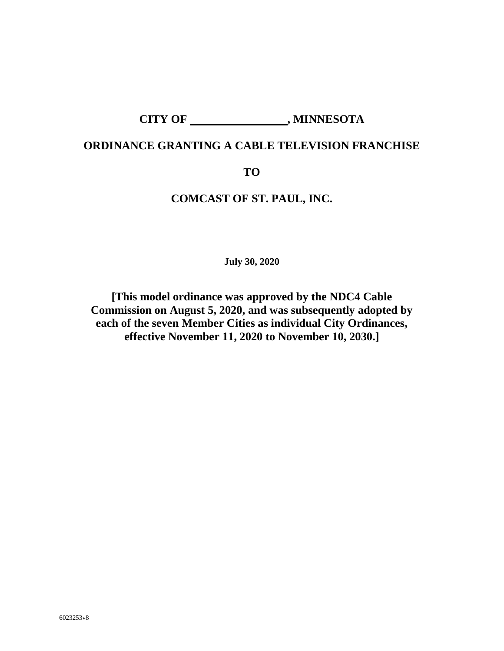# CITY OF \_\_\_\_\_\_\_\_\_\_\_\_\_\_\_\_\_\_\_\_\_, MINNESOTA

# **ORDINANCE GRANTING A CABLE TELEVISION FRANCHISE**

#### **TO**

# **COMCAST OF ST. PAUL, INC.**

**July 30, 2020**

**[This model ordinance was approved by the NDC4 Cable Commission on August 5, 2020, and was subsequently adopted by each of the seven Member Cities as individual City Ordinances, effective November 11, 2020 to November 10, 2030.]**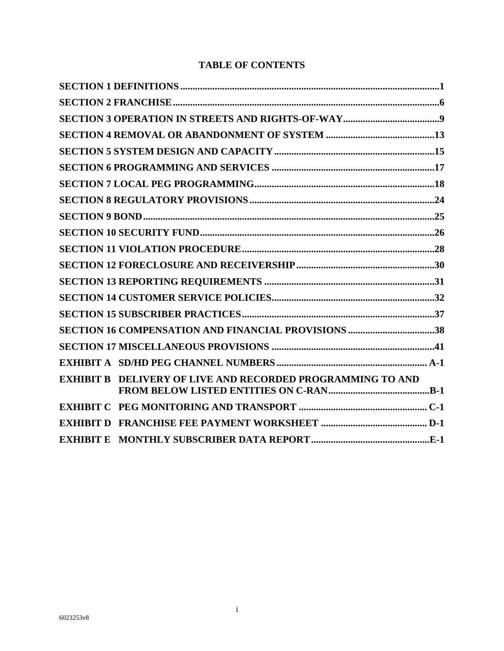# **TABLE OF CONTENTS**

|                  | SECTION 16 COMPENSATION AND FINANCIAL PROVISIONS 38 |  |
|------------------|-----------------------------------------------------|--|
|                  |                                                     |  |
|                  |                                                     |  |
| <b>EXHIBIT B</b> | DELIVERY OF LIVE AND RECORDED PROGRAMMING TO AND    |  |
|                  |                                                     |  |
|                  |                                                     |  |
|                  |                                                     |  |
|                  |                                                     |  |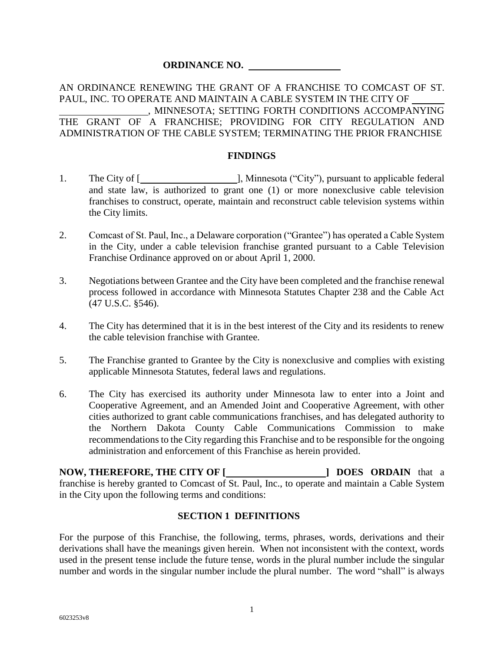#### **ORDINANCE NO.**

#### AN ORDINANCE RENEWING THE GRANT OF A FRANCHISE TO COMCAST OF ST. PAUL, INC. TO OPERATE AND MAINTAIN A CABLE SYSTEM IN THE CITY OF , MINNESOTA; SETTING FORTH CONDITIONS ACCOMPANYING THE GRANT OF A FRANCHISE; PROVIDING FOR CITY REGULATION AND ADMINISTRATION OF THE CABLE SYSTEM; TERMINATING THE PRIOR FRANCHISE

#### **FINDINGS**

- 1. The City of [**Winder**  $\Box$  **]**, Minnesota ("City"), pursuant to applicable federal and state law, is authorized to grant one (1) or more nonexclusive cable television franchises to construct, operate, maintain and reconstruct cable television systems within the City limits.
- 2. Comcast of St. Paul, Inc., a Delaware corporation ("Grantee") has operated a Cable System in the City, under a cable television franchise granted pursuant to a Cable Television Franchise Ordinance approved on or about April 1, 2000.
- 3. Negotiations between Grantee and the City have been completed and the franchise renewal process followed in accordance with Minnesota Statutes Chapter 238 and the Cable Act (47 U.S.C. §546).
- 4. The City has determined that it is in the best interest of the City and its residents to renew the cable television franchise with Grantee.
- 5. The Franchise granted to Grantee by the City is nonexclusive and complies with existing applicable Minnesota Statutes, federal laws and regulations.
- 6. The City has exercised its authority under Minnesota law to enter into a Joint and Cooperative Agreement, and an Amended Joint and Cooperative Agreement, with other cities authorized to grant cable communications franchises, and has delegated authority to the Northern Dakota County Cable Communications Commission to make recommendations to the City regarding this Franchise and to be responsible for the ongoing administration and enforcement of this Franchise as herein provided.

**NOW, THEREFORE, THE CITY OF [ ] DOES ORDAIN** that a franchise is hereby granted to Comcast of St. Paul, Inc., to operate and maintain a Cable System in the City upon the following terms and conditions:

#### <span id="page-2-0"></span>**SECTION 1 DEFINITIONS**

For the purpose of this Franchise, the following, terms, phrases, words, derivations and their derivations shall have the meanings given herein. When not inconsistent with the context, words used in the present tense include the future tense, words in the plural number include the singular number and words in the singular number include the plural number. The word "shall" is always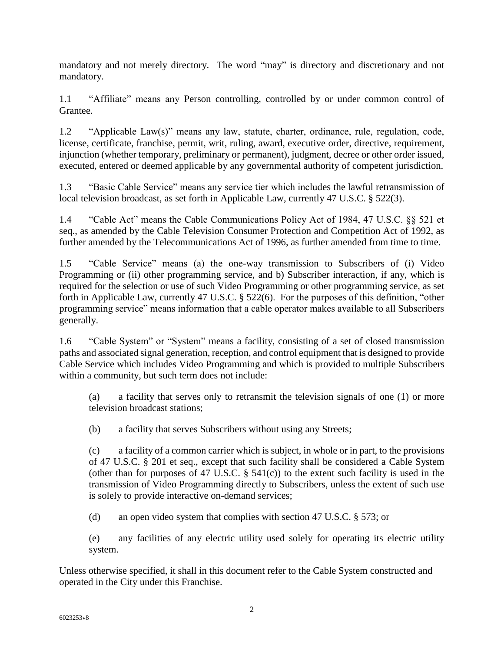mandatory and not merely directory. The word "may" is directory and discretionary and not mandatory.

1.1 "Affiliate" means any Person controlling, controlled by or under common control of Grantee.

1.2 "Applicable Law(s)" means any law, statute, charter, ordinance, rule, regulation, code, license, certificate, franchise, permit, writ, ruling, award, executive order, directive, requirement, injunction (whether temporary, preliminary or permanent), judgment, decree or other order issued, executed, entered or deemed applicable by any governmental authority of competent jurisdiction.

1.3 "Basic Cable Service" means any service tier which includes the lawful retransmission of local television broadcast, as set forth in Applicable Law, currently 47 U.S.C. § 522(3).

1.4 "Cable Act" means the Cable Communications Policy Act of 1984, 47 U.S.C. §§ 521 et seq., as amended by the Cable Television Consumer Protection and Competition Act of 1992, as further amended by the Telecommunications Act of 1996, as further amended from time to time.

1.5 "Cable Service" means (a) the one-way transmission to Subscribers of (i) Video Programming or (ii) other programming service, and b) Subscriber interaction, if any, which is required for the selection or use of such Video Programming or other programming service, as set forth in Applicable Law, currently 47 U.S.C. § 522(6). For the purposes of this definition, "other programming service" means information that a cable operator makes available to all Subscribers generally.

1.6 "Cable System" or "System" means a facility, consisting of a set of closed transmission paths and associated signal generation, reception, and control equipment that is designed to provide Cable Service which includes Video Programming and which is provided to multiple Subscribers within a community, but such term does not include:

(a) a facility that serves only to retransmit the television signals of one (1) or more television broadcast stations;

(b) a facility that serves Subscribers without using any Streets;

(c) a facility of a common carrier which is subject, in whole or in part, to the provisions of 47 U.S.C. § 201 et seq., except that such facility shall be considered a Cable System (other than for purposes of 47 U.S.C.  $\S$  541(c)) to the extent such facility is used in the transmission of Video Programming directly to Subscribers, unless the extent of such use is solely to provide interactive on-demand services;

(d) an open video system that complies with section 47 U.S.C. § 573; or

(e) any facilities of any electric utility used solely for operating its electric utility system.

Unless otherwise specified, it shall in this document refer to the Cable System constructed and operated in the City under this Franchise.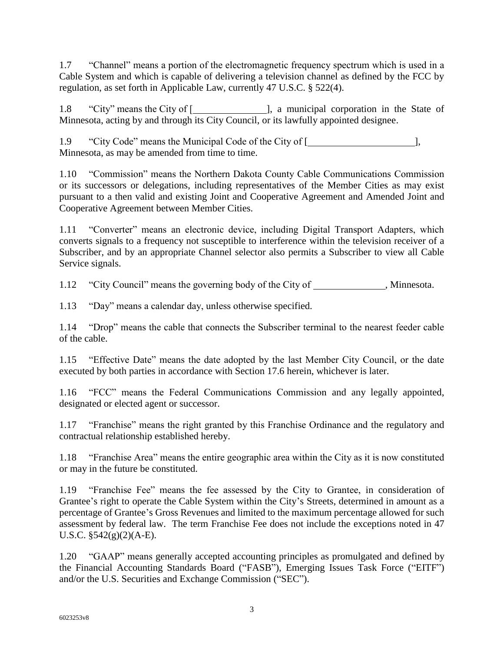1.7 "Channel" means a portion of the electromagnetic frequency spectrum which is used in a Cable System and which is capable of delivering a television channel as defined by the FCC by regulation, as set forth in Applicable Law, currently 47 U.S.C. § 522(4).

1.8 "City" means the City of [\_\_\_\_\_\_\_\_\_\_\_\_\_\_\_\_\_\_\_], a municipal corporation in the State of Minnesota, acting by and through its City Council, or its lawfully appointed designee.

1.9 "City Code" means the Municipal Code of the City of [ Minnesota, as may be amended from time to time.

1.10 "Commission" means the Northern Dakota County Cable Communications Commission or its successors or delegations, including representatives of the Member Cities as may exist pursuant to a then valid and existing Joint and Cooperative Agreement and Amended Joint and Cooperative Agreement between Member Cities.

1.11 "Converter" means an electronic device, including Digital Transport Adapters, which converts signals to a frequency not susceptible to interference within the television receiver of a Subscriber, and by an appropriate Channel selector also permits a Subscriber to view all Cable Service signals.

1.12 "City Council" means the governing body of the City of \_\_\_\_\_\_\_\_\_\_\_\_\_, Minnesota.

1.13 "Day" means a calendar day, unless otherwise specified.

1.14 "Drop" means the cable that connects the Subscriber terminal to the nearest feeder cable of the cable.

1.15 "Effective Date" means the date adopted by the last Member City Council, or the date executed by both parties in accordance with Section 17.6 herein, whichever is later.

1.16 "FCC" means the Federal Communications Commission and any legally appointed, designated or elected agent or successor.

1.17 "Franchise" means the right granted by this Franchise Ordinance and the regulatory and contractual relationship established hereby.

1.18 "Franchise Area" means the entire geographic area within the City as it is now constituted or may in the future be constituted.

1.19 "Franchise Fee" means the fee assessed by the City to Grantee, in consideration of Grantee's right to operate the Cable System within the City's Streets, determined in amount as a percentage of Grantee's Gross Revenues and limited to the maximum percentage allowed for such assessment by federal law. The term Franchise Fee does not include the exceptions noted in 47 U.S.C.  $\S 542(g)(2)(A-E)$ .

1.20 "GAAP" means generally accepted accounting principles as promulgated and defined by the Financial Accounting Standards Board ("FASB"), Emerging Issues Task Force ("EITF") and/or the U.S. Securities and Exchange Commission ("SEC").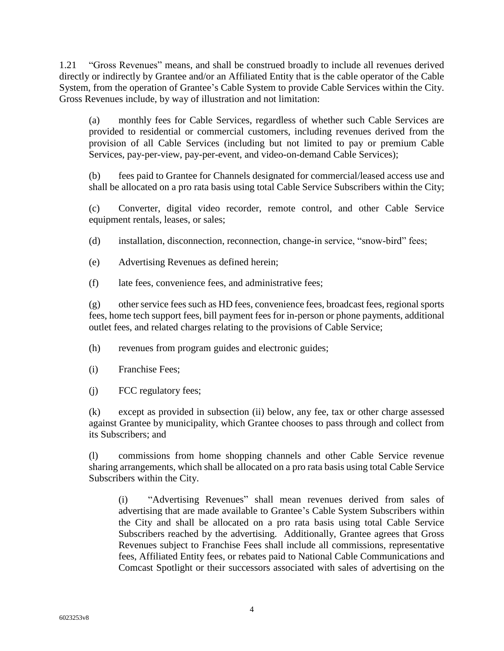1.21 "Gross Revenues" means, and shall be construed broadly to include all revenues derived directly or indirectly by Grantee and/or an Affiliated Entity that is the cable operator of the Cable System, from the operation of Grantee's Cable System to provide Cable Services within the City. Gross Revenues include, by way of illustration and not limitation:

(a) monthly fees for Cable Services, regardless of whether such Cable Services are provided to residential or commercial customers, including revenues derived from the provision of all Cable Services (including but not limited to pay or premium Cable Services, pay-per-view, pay-per-event, and video-on-demand Cable Services);

(b) fees paid to Grantee for Channels designated for commercial/leased access use and shall be allocated on a pro rata basis using total Cable Service Subscribers within the City;

(c) Converter, digital video recorder, remote control, and other Cable Service equipment rentals, leases, or sales;

- (d) installation, disconnection, reconnection, change-in service, "snow-bird" fees;
- (e) Advertising Revenues as defined herein;
- (f) late fees, convenience fees, and administrative fees;

(g) other service fees such as HD fees, convenience fees, broadcast fees, regional sports fees, home tech support fees, bill payment fees for in-person or phone payments, additional outlet fees, and related charges relating to the provisions of Cable Service;

- (h) revenues from program guides and electronic guides;
- (i) Franchise Fees;
- (j) FCC regulatory fees;

(k) except as provided in subsection (ii) below, any fee, tax or other charge assessed against Grantee by municipality, which Grantee chooses to pass through and collect from its Subscribers; and

(l) commissions from home shopping channels and other Cable Service revenue sharing arrangements, which shall be allocated on a pro rata basis using total Cable Service Subscribers within the City.

(i) "Advertising Revenues" shall mean revenues derived from sales of advertising that are made available to Grantee's Cable System Subscribers within the City and shall be allocated on a pro rata basis using total Cable Service Subscribers reached by the advertising. Additionally, Grantee agrees that Gross Revenues subject to Franchise Fees shall include all commissions, representative fees, Affiliated Entity fees, or rebates paid to National Cable Communications and Comcast Spotlight or their successors associated with sales of advertising on the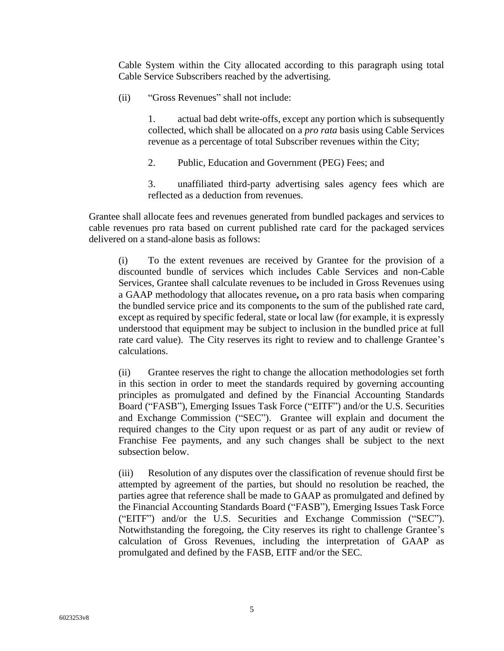Cable System within the City allocated according to this paragraph using total Cable Service Subscribers reached by the advertising.

(ii) "Gross Revenues" shall not include:

1. actual bad debt write-offs, except any portion which is subsequently collected, which shall be allocated on a *pro rata* basis using Cable Services revenue as a percentage of total Subscriber revenues within the City;

2. Public, Education and Government (PEG) Fees; and

3. unaffiliated third-party advertising sales agency fees which are reflected as a deduction from revenues.

Grantee shall allocate fees and revenues generated from bundled packages and services to cable revenues pro rata based on current published rate card for the packaged services delivered on a stand-alone basis as follows:

(i) To the extent revenues are received by Grantee for the provision of a discounted bundle of services which includes Cable Services and non-Cable Services, Grantee shall calculate revenues to be included in Gross Revenues using a GAAP methodology that allocates revenue**,** on a pro rata basis when comparing the bundled service price and its components to the sum of the published rate card, except as required by specific federal, state or local law (for example, it is expressly understood that equipment may be subject to inclusion in the bundled price at full rate card value). The City reserves its right to review and to challenge Grantee's calculations.

(ii) Grantee reserves the right to change the allocation methodologies set forth in this section in order to meet the standards required by governing accounting principles as promulgated and defined by the Financial Accounting Standards Board ("FASB"), Emerging Issues Task Force ("EITF") and/or the U.S. Securities and Exchange Commission ("SEC"). Grantee will explain and document the required changes to the City upon request or as part of any audit or review of Franchise Fee payments, and any such changes shall be subject to the next subsection below.

(iii) Resolution of any disputes over the classification of revenue should first be attempted by agreement of the parties, but should no resolution be reached, the parties agree that reference shall be made to GAAP as promulgated and defined by the Financial Accounting Standards Board ("FASB"), Emerging Issues Task Force ("EITF") and/or the U.S. Securities and Exchange Commission ("SEC"). Notwithstanding the foregoing, the City reserves its right to challenge Grantee's calculation of Gross Revenues, including the interpretation of GAAP as promulgated and defined by the FASB, EITF and/or the SEC.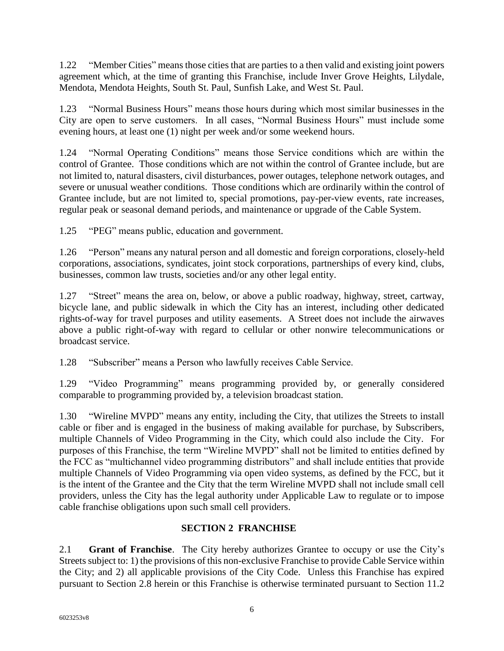1.22 "Member Cities" means those cities that are parties to a then valid and existing joint powers agreement which, at the time of granting this Franchise, include Inver Grove Heights, Lilydale, Mendota, Mendota Heights, South St. Paul, Sunfish Lake, and West St. Paul.

1.23 "Normal Business Hours" means those hours during which most similar businesses in the City are open to serve customers. In all cases, "Normal Business Hours" must include some evening hours, at least one (1) night per week and/or some weekend hours.

1.24 "Normal Operating Conditions" means those Service conditions which are within the control of Grantee. Those conditions which are not within the control of Grantee include, but are not limited to, natural disasters, civil disturbances, power outages, telephone network outages, and severe or unusual weather conditions. Those conditions which are ordinarily within the control of Grantee include, but are not limited to, special promotions, pay-per-view events, rate increases, regular peak or seasonal demand periods, and maintenance or upgrade of the Cable System.

1.25 "PEG" means public, education and government.

1.26 "Person" means any natural person and all domestic and foreign corporations, closely-held corporations, associations, syndicates, joint stock corporations, partnerships of every kind, clubs, businesses, common law trusts, societies and/or any other legal entity.

1.27 "Street" means the area on, below, or above a public roadway, highway, street, cartway, bicycle lane, and public sidewalk in which the City has an interest, including other dedicated rights-of-way for travel purposes and utility easements. A Street does not include the airwaves above a public right-of-way with regard to cellular or other nonwire telecommunications or broadcast service.

1.28 "Subscriber" means a Person who lawfully receives Cable Service.

1.29 "Video Programming" means programming provided by, or generally considered comparable to programming provided by, a television broadcast station.

1.30 "Wireline MVPD" means any entity, including the City, that utilizes the Streets to install cable or fiber and is engaged in the business of making available for purchase, by Subscribers, multiple Channels of Video Programming in the City, which could also include the City. For purposes of this Franchise, the term "Wireline MVPD" shall not be limited to entities defined by the FCC as "multichannel video programming distributors" and shall include entities that provide multiple Channels of Video Programming via open video systems, as defined by the FCC, but it is the intent of the Grantee and the City that the term Wireline MVPD shall not include small cell providers, unless the City has the legal authority under Applicable Law to regulate or to impose cable franchise obligations upon such small cell providers.

# <span id="page-7-0"></span>**SECTION 2 FRANCHISE**

2.1 **Grant of Franchise**. The City hereby authorizes Grantee to occupy or use the City's Streets subject to: 1) the provisions of this non-exclusive Franchise to provide Cable Service within the City; and 2) all applicable provisions of the City Code. Unless this Franchise has expired pursuant to Section 2.8 herein or this Franchise is otherwise terminated pursuant to Section 11.2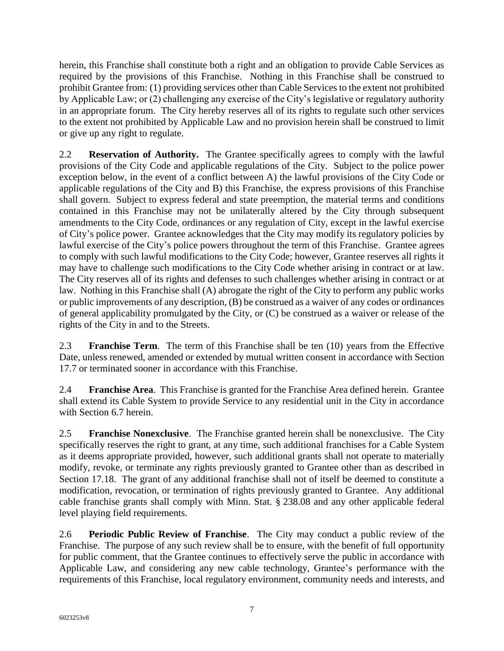herein, this Franchise shall constitute both a right and an obligation to provide Cable Services as required by the provisions of this Franchise. Nothing in this Franchise shall be construed to prohibit Grantee from: (1) providing services other than Cable Services to the extent not prohibited by Applicable Law; or (2) challenging any exercise of the City's legislative or regulatory authority in an appropriate forum. The City hereby reserves all of its rights to regulate such other services to the extent not prohibited by Applicable Law and no provision herein shall be construed to limit or give up any right to regulate.

2.2 **Reservation of Authority.** The Grantee specifically agrees to comply with the lawful provisions of the City Code and applicable regulations of the City. Subject to the police power exception below, in the event of a conflict between A) the lawful provisions of the City Code or applicable regulations of the City and B) this Franchise, the express provisions of this Franchise shall govern. Subject to express federal and state preemption, the material terms and conditions contained in this Franchise may not be unilaterally altered by the City through subsequent amendments to the City Code, ordinances or any regulation of City, except in the lawful exercise of City's police power. Grantee acknowledges that the City may modify its regulatory policies by lawful exercise of the City's police powers throughout the term of this Franchise. Grantee agrees to comply with such lawful modifications to the City Code; however, Grantee reserves all rights it may have to challenge such modifications to the City Code whether arising in contract or at law. The City reserves all of its rights and defenses to such challenges whether arising in contract or at law. Nothing in this Franchise shall (A) abrogate the right of the City to perform any public works or public improvements of any description, (B) be construed as a waiver of any codes or ordinances of general applicability promulgated by the City, or (C) be construed as a waiver or release of the rights of the City in and to the Streets.

2.3 **Franchise Term**. The term of this Franchise shall be ten (10) years from the Effective Date, unless renewed, amended or extended by mutual written consent in accordance with Section 17.7 or terminated sooner in accordance with this Franchise.

2.4 **Franchise Area**. This Franchise is granted for the Franchise Area defined herein. Grantee shall extend its Cable System to provide Service to any residential unit in the City in accordance with Section 6.7 herein.

2.5 **Franchise Nonexclusive**. The Franchise granted herein shall be nonexclusive. The City specifically reserves the right to grant, at any time, such additional franchises for a Cable System as it deems appropriate provided, however, such additional grants shall not operate to materially modify, revoke, or terminate any rights previously granted to Grantee other than as described in Section 17.18. The grant of any additional franchise shall not of itself be deemed to constitute a modification, revocation, or termination of rights previously granted to Grantee. Any additional cable franchise grants shall comply with Minn. Stat. § 238.08 and any other applicable federal level playing field requirements.

2.6 **Periodic Public Review of Franchise**. The City may conduct a public review of the Franchise. The purpose of any such review shall be to ensure, with the benefit of full opportunity for public comment, that the Grantee continues to effectively serve the public in accordance with Applicable Law, and considering any new cable technology, Grantee's performance with the requirements of this Franchise, local regulatory environment, community needs and interests, and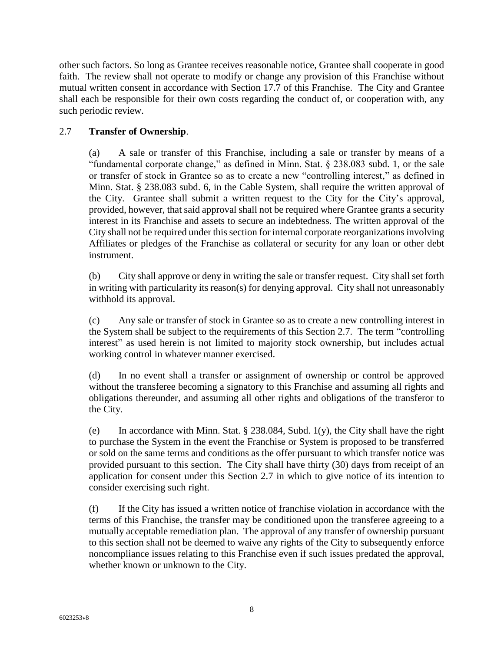other such factors. So long as Grantee receives reasonable notice, Grantee shall cooperate in good faith. The review shall not operate to modify or change any provision of this Franchise without mutual written consent in accordance with Section 17.7 of this Franchise. The City and Grantee shall each be responsible for their own costs regarding the conduct of, or cooperation with, any such periodic review.

#### 2.7 **Transfer of Ownership**.

(a) A sale or transfer of this Franchise, including a sale or transfer by means of a "fundamental corporate change," as defined in Minn. Stat. § 238.083 subd. 1, or the sale or transfer of stock in Grantee so as to create a new "controlling interest," as defined in Minn. Stat. § 238.083 subd. 6, in the Cable System, shall require the written approval of the City. Grantee shall submit a written request to the City for the City's approval, provided, however, that said approval shall not be required where Grantee grants a security interest in its Franchise and assets to secure an indebtedness. The written approval of the City shall not be required under this section for internal corporate reorganizations involving Affiliates or pledges of the Franchise as collateral or security for any loan or other debt instrument.

(b) City shall approve or deny in writing the sale or transfer request. City shall set forth in writing with particularity its reason(s) for denying approval. City shall not unreasonably withhold its approval.

(c) Any sale or transfer of stock in Grantee so as to create a new controlling interest in the System shall be subject to the requirements of this Section 2.7. The term "controlling interest" as used herein is not limited to majority stock ownership, but includes actual working control in whatever manner exercised.

(d) In no event shall a transfer or assignment of ownership or control be approved without the transferee becoming a signatory to this Franchise and assuming all rights and obligations thereunder, and assuming all other rights and obligations of the transferor to the City.

(e) In accordance with Minn. Stat.  $\S 238.084$ , Subd. 1(y), the City shall have the right to purchase the System in the event the Franchise or System is proposed to be transferred or sold on the same terms and conditions as the offer pursuant to which transfer notice was provided pursuant to this section. The City shall have thirty (30) days from receipt of an application for consent under this Section 2.7 in which to give notice of its intention to consider exercising such right.

(f) If the City has issued a written notice of franchise violation in accordance with the terms of this Franchise, the transfer may be conditioned upon the transferee agreeing to a mutually acceptable remediation plan. The approval of any transfer of ownership pursuant to this section shall not be deemed to waive any rights of the City to subsequently enforce noncompliance issues relating to this Franchise even if such issues predated the approval, whether known or unknown to the City.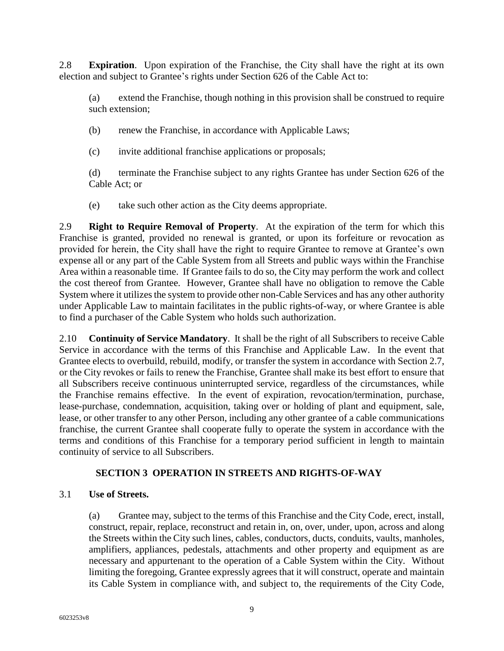2.8 **Expiration**. Upon expiration of the Franchise, the City shall have the right at its own election and subject to Grantee's rights under Section 626 of the Cable Act to:

(a) extend the Franchise, though nothing in this provision shall be construed to require such extension;

(b) renew the Franchise, in accordance with Applicable Laws;

(c) invite additional franchise applications or proposals;

(d) terminate the Franchise subject to any rights Grantee has under Section 626 of the Cable Act; or

(e) take such other action as the City deems appropriate.

2.9 **Right to Require Removal of Property**. At the expiration of the term for which this Franchise is granted, provided no renewal is granted, or upon its forfeiture or revocation as provided for herein, the City shall have the right to require Grantee to remove at Grantee's own expense all or any part of the Cable System from all Streets and public ways within the Franchise Area within a reasonable time. If Grantee fails to do so, the City may perform the work and collect the cost thereof from Grantee. However, Grantee shall have no obligation to remove the Cable System where it utilizes the system to provide other non-Cable Services and has any other authority under Applicable Law to maintain facilitates in the public rights-of-way, or where Grantee is able to find a purchaser of the Cable System who holds such authorization.

2.10 **Continuity of Service Mandatory**. It shall be the right of all Subscribers to receive Cable Service in accordance with the terms of this Franchise and Applicable Law. In the event that Grantee elects to overbuild, rebuild, modify, or transfer the system in accordance with Section 2.7, or the City revokes or fails to renew the Franchise, Grantee shall make its best effort to ensure that all Subscribers receive continuous uninterrupted service, regardless of the circumstances, while the Franchise remains effective. In the event of expiration, revocation/termination, purchase, lease-purchase, condemnation, acquisition, taking over or holding of plant and equipment, sale, lease, or other transfer to any other Person, including any other grantee of a cable communications franchise, the current Grantee shall cooperate fully to operate the system in accordance with the terms and conditions of this Franchise for a temporary period sufficient in length to maintain continuity of service to all Subscribers.

#### <span id="page-10-0"></span>**SECTION 3 OPERATION IN STREETS AND RIGHTS-OF-WAY**

#### 3.1 **Use of Streets.**

(a) Grantee may, subject to the terms of this Franchise and the City Code, erect, install, construct, repair, replace, reconstruct and retain in, on, over, under, upon, across and along the Streets within the City such lines, cables, conductors, ducts, conduits, vaults, manholes, amplifiers, appliances, pedestals, attachments and other property and equipment as are necessary and appurtenant to the operation of a Cable System within the City. Without limiting the foregoing, Grantee expressly agrees that it will construct, operate and maintain its Cable System in compliance with, and subject to, the requirements of the City Code,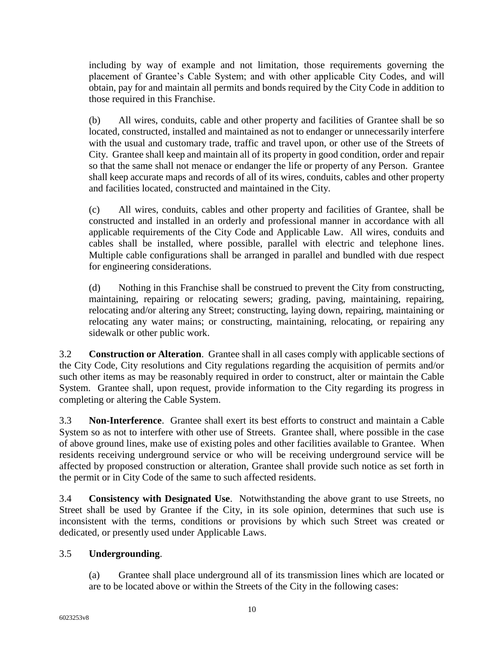including by way of example and not limitation, those requirements governing the placement of Grantee's Cable System; and with other applicable City Codes, and will obtain, pay for and maintain all permits and bonds required by the City Code in addition to those required in this Franchise.

(b) All wires, conduits, cable and other property and facilities of Grantee shall be so located, constructed, installed and maintained as not to endanger or unnecessarily interfere with the usual and customary trade, traffic and travel upon, or other use of the Streets of City. Grantee shall keep and maintain all of its property in good condition, order and repair so that the same shall not menace or endanger the life or property of any Person. Grantee shall keep accurate maps and records of all of its wires, conduits, cables and other property and facilities located, constructed and maintained in the City.

(c) All wires, conduits, cables and other property and facilities of Grantee, shall be constructed and installed in an orderly and professional manner in accordance with all applicable requirements of the City Code and Applicable Law. All wires, conduits and cables shall be installed, where possible, parallel with electric and telephone lines. Multiple cable configurations shall be arranged in parallel and bundled with due respect for engineering considerations.

(d) Nothing in this Franchise shall be construed to prevent the City from constructing, maintaining, repairing or relocating sewers; grading, paving, maintaining, repairing, relocating and/or altering any Street; constructing, laying down, repairing, maintaining or relocating any water mains; or constructing, maintaining, relocating, or repairing any sidewalk or other public work.

3.2 **Construction or Alteration**. Grantee shall in all cases comply with applicable sections of the City Code, City resolutions and City regulations regarding the acquisition of permits and/or such other items as may be reasonably required in order to construct, alter or maintain the Cable System. Grantee shall, upon request, provide information to the City regarding its progress in completing or altering the Cable System.

3.3 **Non-Interference**. Grantee shall exert its best efforts to construct and maintain a Cable System so as not to interfere with other use of Streets. Grantee shall, where possible in the case of above ground lines, make use of existing poles and other facilities available to Grantee. When residents receiving underground service or who will be receiving underground service will be affected by proposed construction or alteration, Grantee shall provide such notice as set forth in the permit or in City Code of the same to such affected residents.

3.4 **Consistency with Designated Use**. Notwithstanding the above grant to use Streets, no Street shall be used by Grantee if the City, in its sole opinion, determines that such use is inconsistent with the terms, conditions or provisions by which such Street was created or dedicated, or presently used under Applicable Laws.

# 3.5 **Undergrounding**.

(a) Grantee shall place underground all of its transmission lines which are located or are to be located above or within the Streets of the City in the following cases: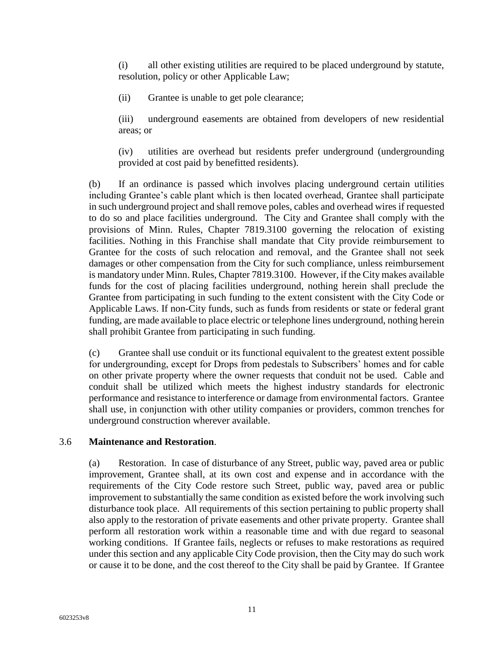(i) all other existing utilities are required to be placed underground by statute, resolution, policy or other Applicable Law;

(ii) Grantee is unable to get pole clearance;

(iii) underground easements are obtained from developers of new residential areas; or

(iv) utilities are overhead but residents prefer underground (undergrounding provided at cost paid by benefitted residents).

(b) If an ordinance is passed which involves placing underground certain utilities including Grantee's cable plant which is then located overhead, Grantee shall participate in such underground project and shall remove poles, cables and overhead wires if requested to do so and place facilities underground. The City and Grantee shall comply with the provisions of Minn. Rules, Chapter 7819.3100 governing the relocation of existing facilities. Nothing in this Franchise shall mandate that City provide reimbursement to Grantee for the costs of such relocation and removal, and the Grantee shall not seek damages or other compensation from the City for such compliance, unless reimbursement is mandatory under Minn. Rules, Chapter 7819.3100. However, if the City makes available funds for the cost of placing facilities underground, nothing herein shall preclude the Grantee from participating in such funding to the extent consistent with the City Code or Applicable Laws. If non-City funds, such as funds from residents or state or federal grant funding, are made available to place electric or telephone lines underground, nothing herein shall prohibit Grantee from participating in such funding.

(c) Grantee shall use conduit or its functional equivalent to the greatest extent possible for undergrounding, except for Drops from pedestals to Subscribers' homes and for cable on other private property where the owner requests that conduit not be used. Cable and conduit shall be utilized which meets the highest industry standards for electronic performance and resistance to interference or damage from environmental factors. Grantee shall use, in conjunction with other utility companies or providers, common trenches for underground construction wherever available.

#### 3.6 **Maintenance and Restoration**.

(a) Restoration. In case of disturbance of any Street, public way, paved area or public improvement, Grantee shall, at its own cost and expense and in accordance with the requirements of the City Code restore such Street, public way, paved area or public improvement to substantially the same condition as existed before the work involving such disturbance took place. All requirements of this section pertaining to public property shall also apply to the restoration of private easements and other private property. Grantee shall perform all restoration work within a reasonable time and with due regard to seasonal working conditions. If Grantee fails, neglects or refuses to make restorations as required under this section and any applicable City Code provision, then the City may do such work or cause it to be done, and the cost thereof to the City shall be paid by Grantee. If Grantee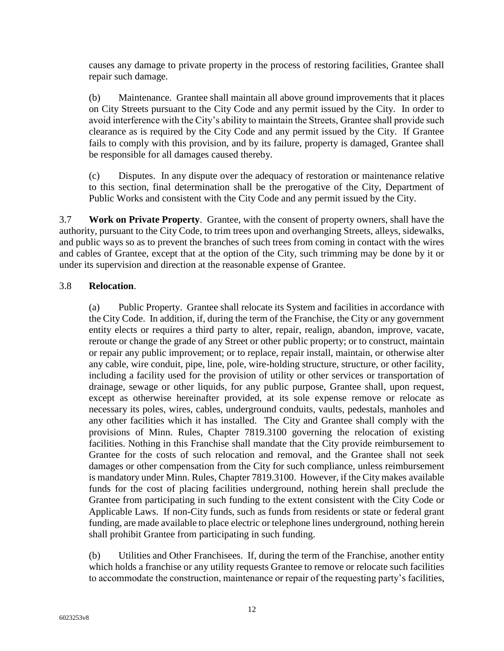causes any damage to private property in the process of restoring facilities, Grantee shall repair such damage.

(b) Maintenance. Grantee shall maintain all above ground improvements that it places on City Streets pursuant to the City Code and any permit issued by the City. In order to avoid interference with the City's ability to maintain the Streets, Grantee shall provide such clearance as is required by the City Code and any permit issued by the City. If Grantee fails to comply with this provision, and by its failure, property is damaged, Grantee shall be responsible for all damages caused thereby.

(c) Disputes. In any dispute over the adequacy of restoration or maintenance relative to this section, final determination shall be the prerogative of the City, Department of Public Works and consistent with the City Code and any permit issued by the City.

3.7 **Work on Private Property**. Grantee, with the consent of property owners, shall have the authority, pursuant to the City Code, to trim trees upon and overhanging Streets, alleys, sidewalks, and public ways so as to prevent the branches of such trees from coming in contact with the wires and cables of Grantee, except that at the option of the City, such trimming may be done by it or under its supervision and direction at the reasonable expense of Grantee.

#### 3.8 **Relocation**.

(a) Public Property. Grantee shall relocate its System and facilities in accordance with the City Code. In addition, if, during the term of the Franchise, the City or any government entity elects or requires a third party to alter, repair, realign, abandon, improve, vacate, reroute or change the grade of any Street or other public property; or to construct, maintain or repair any public improvement; or to replace, repair install, maintain, or otherwise alter any cable, wire conduit, pipe, line, pole, wire-holding structure, structure, or other facility, including a facility used for the provision of utility or other services or transportation of drainage, sewage or other liquids, for any public purpose, Grantee shall, upon request, except as otherwise hereinafter provided, at its sole expense remove or relocate as necessary its poles, wires, cables, underground conduits, vaults, pedestals, manholes and any other facilities which it has installed. The City and Grantee shall comply with the provisions of Minn. Rules, Chapter 7819.3100 governing the relocation of existing facilities. Nothing in this Franchise shall mandate that the City provide reimbursement to Grantee for the costs of such relocation and removal, and the Grantee shall not seek damages or other compensation from the City for such compliance, unless reimbursement is mandatory under Minn. Rules, Chapter 7819.3100. However, if the City makes available funds for the cost of placing facilities underground, nothing herein shall preclude the Grantee from participating in such funding to the extent consistent with the City Code or Applicable Laws. If non-City funds, such as funds from residents or state or federal grant funding, are made available to place electric or telephone lines underground, nothing herein shall prohibit Grantee from participating in such funding.

(b) Utilities and Other Franchisees. If, during the term of the Franchise, another entity which holds a franchise or any utility requests Grantee to remove or relocate such facilities to accommodate the construction, maintenance or repair of the requesting party's facilities,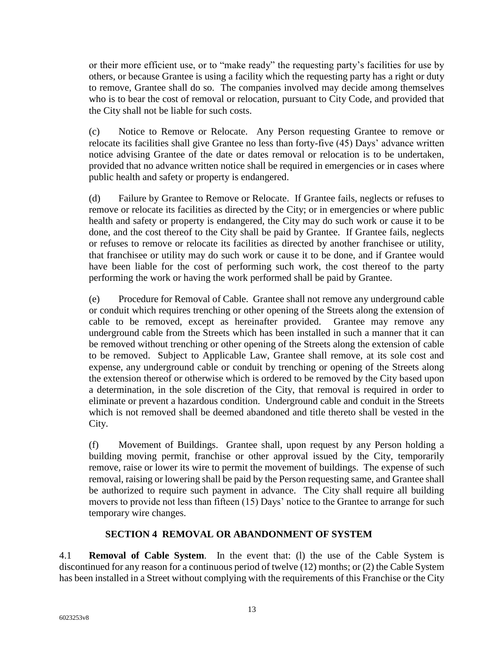or their more efficient use, or to "make ready" the requesting party's facilities for use by others, or because Grantee is using a facility which the requesting party has a right or duty to remove, Grantee shall do so. The companies involved may decide among themselves who is to bear the cost of removal or relocation, pursuant to City Code, and provided that the City shall not be liable for such costs.

(c) Notice to Remove or Relocate. Any Person requesting Grantee to remove or relocate its facilities shall give Grantee no less than forty-five (45) Days' advance written notice advising Grantee of the date or dates removal or relocation is to be undertaken, provided that no advance written notice shall be required in emergencies or in cases where public health and safety or property is endangered.

(d) Failure by Grantee to Remove or Relocate. If Grantee fails, neglects or refuses to remove or relocate its facilities as directed by the City; or in emergencies or where public health and safety or property is endangered, the City may do such work or cause it to be done, and the cost thereof to the City shall be paid by Grantee. If Grantee fails, neglects or refuses to remove or relocate its facilities as directed by another franchisee or utility, that franchisee or utility may do such work or cause it to be done, and if Grantee would have been liable for the cost of performing such work, the cost thereof to the party performing the work or having the work performed shall be paid by Grantee.

(e) Procedure for Removal of Cable. Grantee shall not remove any underground cable or conduit which requires trenching or other opening of the Streets along the extension of cable to be removed, except as hereinafter provided. Grantee may remove any underground cable from the Streets which has been installed in such a manner that it can be removed without trenching or other opening of the Streets along the extension of cable to be removed. Subject to Applicable Law, Grantee shall remove, at its sole cost and expense, any underground cable or conduit by trenching or opening of the Streets along the extension thereof or otherwise which is ordered to be removed by the City based upon a determination, in the sole discretion of the City, that removal is required in order to eliminate or prevent a hazardous condition. Underground cable and conduit in the Streets which is not removed shall be deemed abandoned and title thereto shall be vested in the City.

(f) Movement of Buildings. Grantee shall, upon request by any Person holding a building moving permit, franchise or other approval issued by the City, temporarily remove, raise or lower its wire to permit the movement of buildings. The expense of such removal, raising or lowering shall be paid by the Person requesting same, and Grantee shall be authorized to require such payment in advance. The City shall require all building movers to provide not less than fifteen (15) Days' notice to the Grantee to arrange for such temporary wire changes.

#### <span id="page-14-0"></span>**SECTION 4 REMOVAL OR ABANDONMENT OF SYSTEM**

4.1 **Removal of Cable System**. In the event that: (l) the use of the Cable System is discontinued for any reason for a continuous period of twelve (12) months; or (2) the Cable System has been installed in a Street without complying with the requirements of this Franchise or the City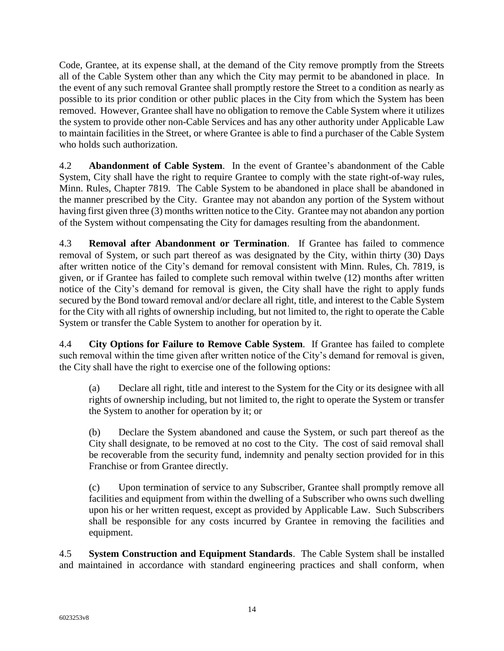Code, Grantee, at its expense shall, at the demand of the City remove promptly from the Streets all of the Cable System other than any which the City may permit to be abandoned in place. In the event of any such removal Grantee shall promptly restore the Street to a condition as nearly as possible to its prior condition or other public places in the City from which the System has been removed. However, Grantee shall have no obligation to remove the Cable System where it utilizes the system to provide other non-Cable Services and has any other authority under Applicable Law to maintain facilities in the Street, or where Grantee is able to find a purchaser of the Cable System who holds such authorization.

4.2 **Abandonment of Cable System**. In the event of Grantee's abandonment of the Cable System, City shall have the right to require Grantee to comply with the state right-of-way rules, Minn. Rules, Chapter 7819. The Cable System to be abandoned in place shall be abandoned in the manner prescribed by the City. Grantee may not abandon any portion of the System without having first given three (3) months written notice to the City. Grantee may not abandon any portion of the System without compensating the City for damages resulting from the abandonment.

4.3 **Removal after Abandonment or Termination**. If Grantee has failed to commence removal of System, or such part thereof as was designated by the City, within thirty (30) Days after written notice of the City's demand for removal consistent with Minn. Rules, Ch. 7819, is given, or if Grantee has failed to complete such removal within twelve (12) months after written notice of the City's demand for removal is given, the City shall have the right to apply funds secured by the Bond toward removal and/or declare all right, title, and interest to the Cable System for the City with all rights of ownership including, but not limited to, the right to operate the Cable System or transfer the Cable System to another for operation by it.

4.4 **City Options for Failure to Remove Cable System**. If Grantee has failed to complete such removal within the time given after written notice of the City's demand for removal is given, the City shall have the right to exercise one of the following options:

(a) Declare all right, title and interest to the System for the City or its designee with all rights of ownership including, but not limited to, the right to operate the System or transfer the System to another for operation by it; or

(b) Declare the System abandoned and cause the System, or such part thereof as the City shall designate, to be removed at no cost to the City. The cost of said removal shall be recoverable from the security fund, indemnity and penalty section provided for in this Franchise or from Grantee directly.

(c) Upon termination of service to any Subscriber, Grantee shall promptly remove all facilities and equipment from within the dwelling of a Subscriber who owns such dwelling upon his or her written request, except as provided by Applicable Law. Such Subscribers shall be responsible for any costs incurred by Grantee in removing the facilities and equipment.

4.5 **System Construction and Equipment Standards**. The Cable System shall be installed and maintained in accordance with standard engineering practices and shall conform, when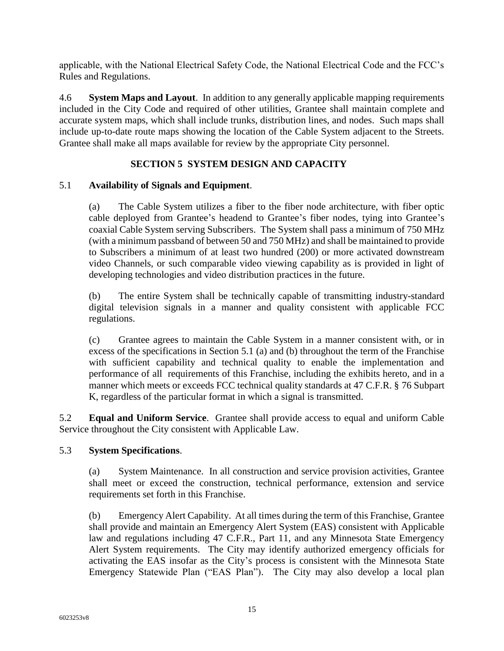applicable, with the National Electrical Safety Code, the National Electrical Code and the FCC's Rules and Regulations.

4.6 **System Maps and Layout**. In addition to any generally applicable mapping requirements included in the City Code and required of other utilities, Grantee shall maintain complete and accurate system maps, which shall include trunks, distribution lines, and nodes. Such maps shall include up-to-date route maps showing the location of the Cable System adjacent to the Streets. Grantee shall make all maps available for review by the appropriate City personnel.

### <span id="page-16-0"></span>**SECTION 5 SYSTEM DESIGN AND CAPACITY**

#### 5.1 **Availability of Signals and Equipment**.

(a) The Cable System utilizes a fiber to the fiber node architecture, with fiber optic cable deployed from Grantee's headend to Grantee's fiber nodes, tying into Grantee's coaxial Cable System serving Subscribers. The System shall pass a minimum of 750 MHz (with a minimum passband of between 50 and 750 MHz) and shall be maintained to provide to Subscribers a minimum of at least two hundred (200) or more activated downstream video Channels, or such comparable video viewing capability as is provided in light of developing technologies and video distribution practices in the future.

(b) The entire System shall be technically capable of transmitting industry-standard digital television signals in a manner and quality consistent with applicable FCC regulations.

(c) Grantee agrees to maintain the Cable System in a manner consistent with, or in excess of the specifications in Section 5.1 (a) and (b) throughout the term of the Franchise with sufficient capability and technical quality to enable the implementation and performance of all requirements of this Franchise, including the exhibits hereto, and in a manner which meets or exceeds FCC technical quality standards at 47 C.F.R. § 76 Subpart K, regardless of the particular format in which a signal is transmitted.

5.2 **Equal and Uniform Service**. Grantee shall provide access to equal and uniform Cable Service throughout the City consistent with Applicable Law.

#### 5.3 **System Specifications**.

(a) System Maintenance. In all construction and service provision activities, Grantee shall meet or exceed the construction, technical performance, extension and service requirements set forth in this Franchise.

(b) Emergency Alert Capability. At all times during the term of this Franchise, Grantee shall provide and maintain an Emergency Alert System (EAS) consistent with Applicable law and regulations including 47 C.F.R., Part 11, and any Minnesota State Emergency Alert System requirements. The City may identify authorized emergency officials for activating the EAS insofar as the City's process is consistent with the Minnesota State Emergency Statewide Plan ("EAS Plan"). The City may also develop a local plan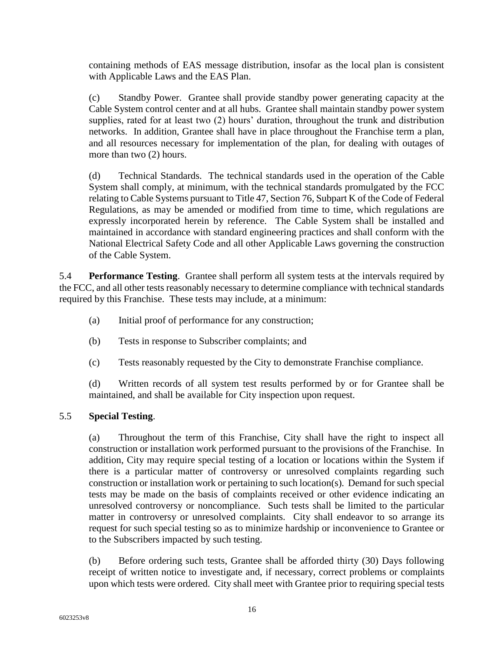containing methods of EAS message distribution, insofar as the local plan is consistent with Applicable Laws and the EAS Plan.

(c) Standby Power. Grantee shall provide standby power generating capacity at the Cable System control center and at all hubs. Grantee shall maintain standby power system supplies, rated for at least two (2) hours' duration, throughout the trunk and distribution networks. In addition, Grantee shall have in place throughout the Franchise term a plan, and all resources necessary for implementation of the plan, for dealing with outages of more than two (2) hours.

(d) Technical Standards. The technical standards used in the operation of the Cable System shall comply, at minimum, with the technical standards promulgated by the FCC relating to Cable Systems pursuant to Title 47, Section 76, Subpart K of the Code of Federal Regulations, as may be amended or modified from time to time, which regulations are expressly incorporated herein by reference. The Cable System shall be installed and maintained in accordance with standard engineering practices and shall conform with the National Electrical Safety Code and all other Applicable Laws governing the construction of the Cable System.

5.4 **Performance Testing**. Grantee shall perform all system tests at the intervals required by the FCC, and all other tests reasonably necessary to determine compliance with technical standards required by this Franchise. These tests may include, at a minimum:

- (a) Initial proof of performance for any construction;
- (b) Tests in response to Subscriber complaints; and
- (c) Tests reasonably requested by the City to demonstrate Franchise compliance.

(d) Written records of all system test results performed by or for Grantee shall be maintained, and shall be available for City inspection upon request.

#### 5.5 **Special Testing**.

(a) Throughout the term of this Franchise, City shall have the right to inspect all construction or installation work performed pursuant to the provisions of the Franchise. In addition, City may require special testing of a location or locations within the System if there is a particular matter of controversy or unresolved complaints regarding such construction or installation work or pertaining to such location(s). Demand for such special tests may be made on the basis of complaints received or other evidence indicating an unresolved controversy or noncompliance. Such tests shall be limited to the particular matter in controversy or unresolved complaints. City shall endeavor to so arrange its request for such special testing so as to minimize hardship or inconvenience to Grantee or to the Subscribers impacted by such testing.

(b) Before ordering such tests, Grantee shall be afforded thirty (30) Days following receipt of written notice to investigate and, if necessary, correct problems or complaints upon which tests were ordered. City shall meet with Grantee prior to requiring special tests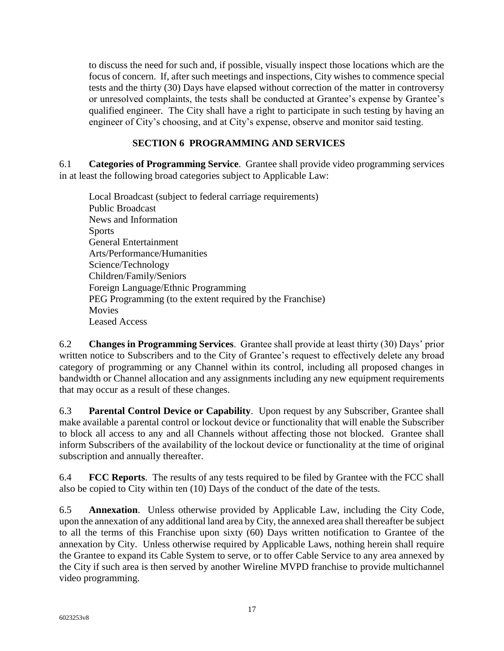to discuss the need for such and, if possible, visually inspect those locations which are the focus of concern. If, after such meetings and inspections, City wishes to commence special tests and the thirty (30) Days have elapsed without correction of the matter in controversy or unresolved complaints, the tests shall be conducted at Grantee's expense by Grantee's qualified engineer. The City shall have a right to participate in such testing by having an engineer of City's choosing, and at City's expense, observe and monitor said testing.

# <span id="page-18-0"></span>**SECTION 6 PROGRAMMING AND SERVICES**

6.1 **Categories of Programming Service**. Grantee shall provide video programming services in at least the following broad categories subject to Applicable Law:

Local Broadcast (subject to federal carriage requirements) Public Broadcast News and Information Sports General Entertainment Arts/Performance/Humanities Science/Technology Children/Family/Seniors Foreign Language/Ethnic Programming PEG Programming (to the extent required by the Franchise) Movies Leased Access

6.2 **Changes in Programming Services**. Grantee shall provide at least thirty (30) Days' prior written notice to Subscribers and to the City of Grantee's request to effectively delete any broad category of programming or any Channel within its control, including all proposed changes in bandwidth or Channel allocation and any assignments including any new equipment requirements that may occur as a result of these changes.

6.3 **Parental Control Device or Capability**. Upon request by any Subscriber, Grantee shall make available a parental control or lockout device or functionality that will enable the Subscriber to block all access to any and all Channels without affecting those not blocked. Grantee shall inform Subscribers of the availability of the lockout device or functionality at the time of original subscription and annually thereafter.

6.4 **FCC Reports**. The results of any tests required to be filed by Grantee with the FCC shall also be copied to City within ten (10) Days of the conduct of the date of the tests.

6.5 **Annexation**. Unless otherwise provided by Applicable Law, including the City Code, upon the annexation of any additional land area by City, the annexed area shall thereafter be subject to all the terms of this Franchise upon sixty (60) Days written notification to Grantee of the annexation by City. Unless otherwise required by Applicable Laws, nothing herein shall require the Grantee to expand its Cable System to serve, or to offer Cable Service to any area annexed by the City if such area is then served by another Wireline MVPD franchise to provide multichannel video programming.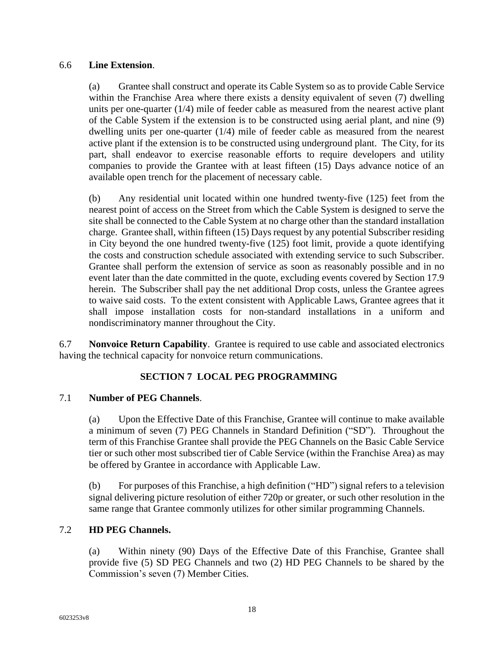#### 6.6 **Line Extension**.

(a) Grantee shall construct and operate its Cable System so as to provide Cable Service within the Franchise Area where there exists a density equivalent of seven (7) dwelling units per one-quarter (1/4) mile of feeder cable as measured from the nearest active plant of the Cable System if the extension is to be constructed using aerial plant, and nine (9) dwelling units per one-quarter (1/4) mile of feeder cable as measured from the nearest active plant if the extension is to be constructed using underground plant. The City, for its part, shall endeavor to exercise reasonable efforts to require developers and utility companies to provide the Grantee with at least fifteen (15) Days advance notice of an available open trench for the placement of necessary cable.

(b) Any residential unit located within one hundred twenty-five (125) feet from the nearest point of access on the Street from which the Cable System is designed to serve the site shall be connected to the Cable System at no charge other than the standard installation charge. Grantee shall, within fifteen (15) Days request by any potential Subscriber residing in City beyond the one hundred twenty-five (125) foot limit, provide a quote identifying the costs and construction schedule associated with extending service to such Subscriber. Grantee shall perform the extension of service as soon as reasonably possible and in no event later than the date committed in the quote, excluding events covered by Section 17.9 herein. The Subscriber shall pay the net additional Drop costs, unless the Grantee agrees to waive said costs. To the extent consistent with Applicable Laws, Grantee agrees that it shall impose installation costs for non-standard installations in a uniform and nondiscriminatory manner throughout the City.

6.7 **Nonvoice Return Capability**. Grantee is required to use cable and associated electronics having the technical capacity for nonvoice return communications.

# <span id="page-19-0"></span>**SECTION 7 LOCAL PEG PROGRAMMING**

#### 7.1 **Number of PEG Channels**.

(a) Upon the Effective Date of this Franchise, Grantee will continue to make available a minimum of seven (7) PEG Channels in Standard Definition ("SD"). Throughout the term of this Franchise Grantee shall provide the PEG Channels on the Basic Cable Service tier or such other most subscribed tier of Cable Service (within the Franchise Area) as may be offered by Grantee in accordance with Applicable Law.

(b) For purposes of this Franchise, a high definition ("HD") signal refers to a television signal delivering picture resolution of either 720p or greater, or such other resolution in the same range that Grantee commonly utilizes for other similar programming Channels.

#### 7.2 **HD PEG Channels.**

(a) Within ninety (90) Days of the Effective Date of this Franchise, Grantee shall provide five (5) SD PEG Channels and two (2) HD PEG Channels to be shared by the Commission's seven (7) Member Cities.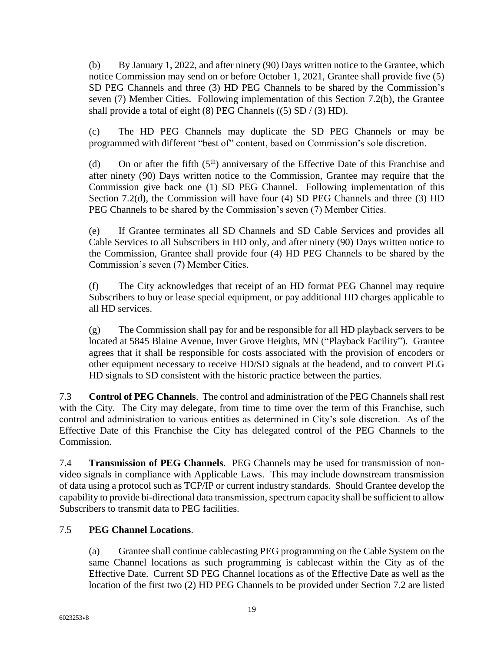(b) By January 1, 2022, and after ninety (90) Days written notice to the Grantee, which notice Commission may send on or before October 1, 2021, Grantee shall provide five (5) SD PEG Channels and three (3) HD PEG Channels to be shared by the Commission's seven (7) Member Cities. Following implementation of this Section 7.2(b), the Grantee shall provide a total of eight  $(8)$  PEG Channels  $((5)$  SD  $/(3)$  HD).

(c) The HD PEG Channels may duplicate the SD PEG Channels or may be programmed with different "best of" content, based on Commission's sole discretion.

(d) On or after the fifth  $(5<sup>th</sup>)$  anniversary of the Effective Date of this Franchise and after ninety (90) Days written notice to the Commission, Grantee may require that the Commission give back one (1) SD PEG Channel. Following implementation of this Section 7.2(d), the Commission will have four (4) SD PEG Channels and three (3) HD PEG Channels to be shared by the Commission's seven (7) Member Cities.

(e) If Grantee terminates all SD Channels and SD Cable Services and provides all Cable Services to all Subscribers in HD only, and after ninety (90) Days written notice to the Commission, Grantee shall provide four (4) HD PEG Channels to be shared by the Commission's seven (7) Member Cities.

(f) The City acknowledges that receipt of an HD format PEG Channel may require Subscribers to buy or lease special equipment, or pay additional HD charges applicable to all HD services.

(g) The Commission shall pay for and be responsible for all HD playback servers to be located at 5845 Blaine Avenue, Inver Grove Heights, MN ("Playback Facility"). Grantee agrees that it shall be responsible for costs associated with the provision of encoders or other equipment necessary to receive HD/SD signals at the headend, and to convert PEG HD signals to SD consistent with the historic practice between the parties.

7.3 **Control of PEG Channels**. The control and administration of the PEG Channels shall rest with the City. The City may delegate, from time to time over the term of this Franchise, such control and administration to various entities as determined in City's sole discretion. As of the Effective Date of this Franchise the City has delegated control of the PEG Channels to the Commission.

7.4 **Transmission of PEG Channels**. PEG Channels may be used for transmission of nonvideo signals in compliance with Applicable Laws. This may include downstream transmission of data using a protocol such as TCP/IP or current industry standards. Should Grantee develop the capability to provide bi-directional data transmission, spectrum capacity shall be sufficient to allow Subscribers to transmit data to PEG facilities.

# 7.5 **PEG Channel Locations**.

(a) Grantee shall continue cablecasting PEG programming on the Cable System on the same Channel locations as such programming is cablecast within the City as of the Effective Date. Current SD PEG Channel locations as of the Effective Date as well as the location of the first two (2) HD PEG Channels to be provided under Section 7.2 are listed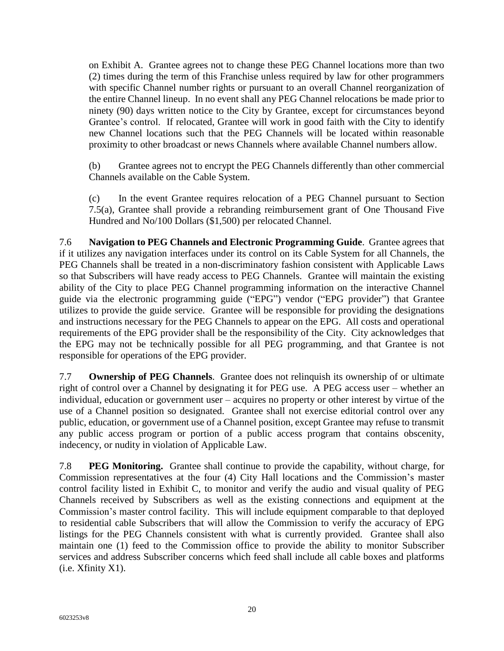on Exhibit A. Grantee agrees not to change these PEG Channel locations more than two (2) times during the term of this Franchise unless required by law for other programmers with specific Channel number rights or pursuant to an overall Channel reorganization of the entire Channel lineup. In no event shall any PEG Channel relocations be made prior to ninety (90) days written notice to the City by Grantee, except for circumstances beyond Grantee's control. If relocated, Grantee will work in good faith with the City to identify new Channel locations such that the PEG Channels will be located within reasonable proximity to other broadcast or news Channels where available Channel numbers allow.

(b) Grantee agrees not to encrypt the PEG Channels differently than other commercial Channels available on the Cable System.

(c) In the event Grantee requires relocation of a PEG Channel pursuant to Section 7.5(a), Grantee shall provide a rebranding reimbursement grant of One Thousand Five Hundred and No/100 Dollars (\$1,500) per relocated Channel.

7.6 **Navigation to PEG Channels and Electronic Programming Guide**. Grantee agrees that if it utilizes any navigation interfaces under its control on its Cable System for all Channels, the PEG Channels shall be treated in a non-discriminatory fashion consistent with Applicable Laws so that Subscribers will have ready access to PEG Channels. Grantee will maintain the existing ability of the City to place PEG Channel programming information on the interactive Channel guide via the electronic programming guide ("EPG") vendor ("EPG provider") that Grantee utilizes to provide the guide service. Grantee will be responsible for providing the designations and instructions necessary for the PEG Channels to appear on the EPG. All costs and operational requirements of the EPG provider shall be the responsibility of the City. City acknowledges that the EPG may not be technically possible for all PEG programming, and that Grantee is not responsible for operations of the EPG provider.

7.7 **Ownership of PEG Channels**. Grantee does not relinquish its ownership of or ultimate right of control over a Channel by designating it for PEG use. A PEG access user – whether an individual, education or government user – acquires no property or other interest by virtue of the use of a Channel position so designated. Grantee shall not exercise editorial control over any public, education, or government use of a Channel position, except Grantee may refuse to transmit any public access program or portion of a public access program that contains obscenity, indecency, or nudity in violation of Applicable Law.

7.8 **PEG Monitoring.** Grantee shall continue to provide the capability, without charge, for Commission representatives at the four (4) City Hall locations and the Commission's master control facility listed in Exhibit C, to monitor and verify the audio and visual quality of PEG Channels received by Subscribers as well as the existing connections and equipment at the Commission's master control facility. This will include equipment comparable to that deployed to residential cable Subscribers that will allow the Commission to verify the accuracy of EPG listings for the PEG Channels consistent with what is currently provided. Grantee shall also maintain one (1) feed to the Commission office to provide the ability to monitor Subscriber services and address Subscriber concerns which feed shall include all cable boxes and platforms (i.e. Xfinity X1).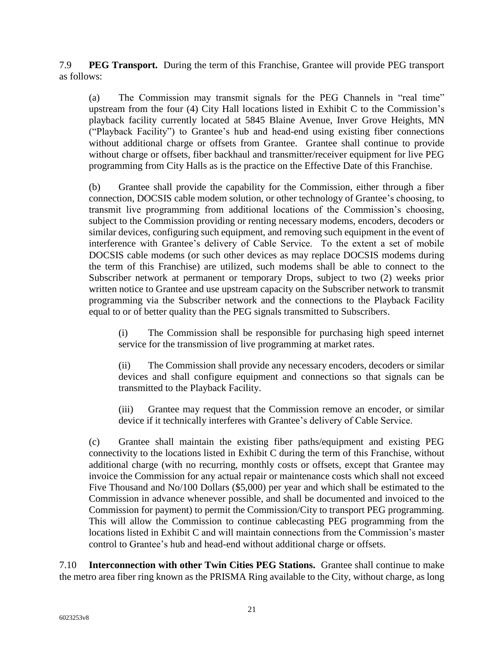7.9 **PEG Transport.** During the term of this Franchise, Grantee will provide PEG transport as follows:

(a) The Commission may transmit signals for the PEG Channels in "real time" upstream from the four (4) City Hall locations listed in Exhibit C to the Commission's playback facility currently located at 5845 Blaine Avenue, Inver Grove Heights, MN ("Playback Facility") to Grantee's hub and head-end using existing fiber connections without additional charge or offsets from Grantee. Grantee shall continue to provide without charge or offsets, fiber backhaul and transmitter/receiver equipment for live PEG programming from City Halls as is the practice on the Effective Date of this Franchise.

(b) Grantee shall provide the capability for the Commission, either through a fiber connection, DOCSIS cable modem solution, or other technology of Grantee's choosing, to transmit live programming from additional locations of the Commission's choosing, subject to the Commission providing or renting necessary modems, encoders, decoders or similar devices, configuring such equipment, and removing such equipment in the event of interference with Grantee's delivery of Cable Service. To the extent a set of mobile DOCSIS cable modems (or such other devices as may replace DOCSIS modems during the term of this Franchise) are utilized, such modems shall be able to connect to the Subscriber network at permanent or temporary Drops, subject to two (2) weeks prior written notice to Grantee and use upstream capacity on the Subscriber network to transmit programming via the Subscriber network and the connections to the Playback Facility equal to or of better quality than the PEG signals transmitted to Subscribers.

(i) The Commission shall be responsible for purchasing high speed internet service for the transmission of live programming at market rates.

(ii) The Commission shall provide any necessary encoders, decoders or similar devices and shall configure equipment and connections so that signals can be transmitted to the Playback Facility.

(iii) Grantee may request that the Commission remove an encoder, or similar device if it technically interferes with Grantee's delivery of Cable Service.

(c) Grantee shall maintain the existing fiber paths/equipment and existing PEG connectivity to the locations listed in Exhibit C during the term of this Franchise, without additional charge (with no recurring, monthly costs or offsets, except that Grantee may invoice the Commission for any actual repair or maintenance costs which shall not exceed Five Thousand and No/100 Dollars (\$5,000) per year and which shall be estimated to the Commission in advance whenever possible, and shall be documented and invoiced to the Commission for payment) to permit the Commission/City to transport PEG programming. This will allow the Commission to continue cablecasting PEG programming from the locations listed in Exhibit C and will maintain connections from the Commission's master control to Grantee's hub and head-end without additional charge or offsets.

7.10 **Interconnection with other Twin Cities PEG Stations.** Grantee shall continue to make the metro area fiber ring known as the PRISMA Ring available to the City, without charge, as long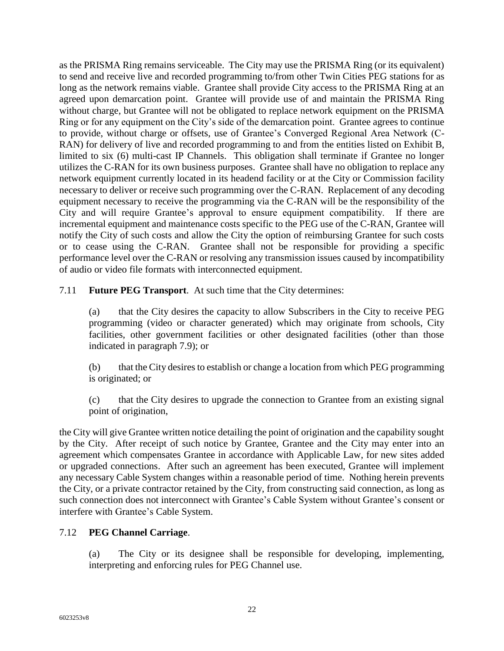as the PRISMA Ring remains serviceable. The City may use the PRISMA Ring (or its equivalent) to send and receive live and recorded programming to/from other Twin Cities PEG stations for as long as the network remains viable. Grantee shall provide City access to the PRISMA Ring at an agreed upon demarcation point. Grantee will provide use of and maintain the PRISMA Ring without charge, but Grantee will not be obligated to replace network equipment on the PRISMA Ring or for any equipment on the City's side of the demarcation point. Grantee agrees to continue to provide, without charge or offsets, use of Grantee's Converged Regional Area Network (C-RAN) for delivery of live and recorded programming to and from the entities listed on Exhibit B, limited to six (6) multi-cast IP Channels. This obligation shall terminate if Grantee no longer utilizes the C-RAN for its own business purposes. Grantee shall have no obligation to replace any network equipment currently located in its headend facility or at the City or Commission facility necessary to deliver or receive such programming over the C-RAN. Replacement of any decoding equipment necessary to receive the programming via the C-RAN will be the responsibility of the City and will require Grantee's approval to ensure equipment compatibility. If there are incremental equipment and maintenance costs specific to the PEG use of the C-RAN, Grantee will notify the City of such costs and allow the City the option of reimbursing Grantee for such costs or to cease using the C-RAN. Grantee shall not be responsible for providing a specific performance level over the C-RAN or resolving any transmission issues caused by incompatibility of audio or video file formats with interconnected equipment.

7.11 **Future PEG Transport**. At such time that the City determines:

(a) that the City desires the capacity to allow Subscribers in the City to receive PEG programming (video or character generated) which may originate from schools, City facilities, other government facilities or other designated facilities (other than those indicated in paragraph 7.9); or

(b) that the City desires to establish or change a location from which PEG programming is originated; or

(c) that the City desires to upgrade the connection to Grantee from an existing signal point of origination,

the City will give Grantee written notice detailing the point of origination and the capability sought by the City. After receipt of such notice by Grantee, Grantee and the City may enter into an agreement which compensates Grantee in accordance with Applicable Law, for new sites added or upgraded connections. After such an agreement has been executed, Grantee will implement any necessary Cable System changes within a reasonable period of time. Nothing herein prevents the City, or a private contractor retained by the City, from constructing said connection, as long as such connection does not interconnect with Grantee's Cable System without Grantee's consent or interfere with Grantee's Cable System.

#### 7.12 **PEG Channel Carriage**.

(a) The City or its designee shall be responsible for developing, implementing, interpreting and enforcing rules for PEG Channel use.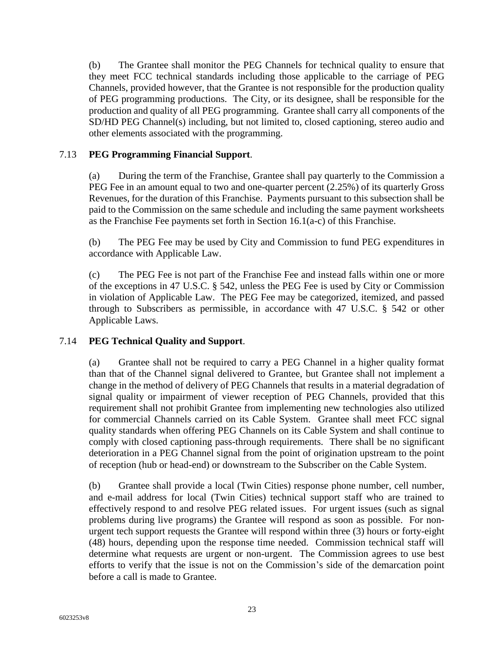(b) The Grantee shall monitor the PEG Channels for technical quality to ensure that they meet FCC technical standards including those applicable to the carriage of PEG Channels, provided however, that the Grantee is not responsible for the production quality of PEG programming productions. The City, or its designee, shall be responsible for the production and quality of all PEG programming. Grantee shall carry all components of the SD/HD PEG Channel(s) including, but not limited to, closed captioning, stereo audio and other elements associated with the programming.

#### 7.13 **PEG Programming Financial Support**.

(a) During the term of the Franchise, Grantee shall pay quarterly to the Commission a PEG Fee in an amount equal to two and one-quarter percent (2.25%) of its quarterly Gross Revenues, for the duration of this Franchise. Payments pursuant to this subsection shall be paid to the Commission on the same schedule and including the same payment worksheets as the Franchise Fee payments set forth in Section 16.1(a-c) of this Franchise.

(b) The PEG Fee may be used by City and Commission to fund PEG expenditures in accordance with Applicable Law.

(c) The PEG Fee is not part of the Franchise Fee and instead falls within one or more of the exceptions in 47 U.S.C. § 542, unless the PEG Fee is used by City or Commission in violation of Applicable Law. The PEG Fee may be categorized, itemized, and passed through to Subscribers as permissible, in accordance with 47 U.S.C. § 542 or other Applicable Laws.

#### 7.14 **PEG Technical Quality and Support**.

(a) Grantee shall not be required to carry a PEG Channel in a higher quality format than that of the Channel signal delivered to Grantee, but Grantee shall not implement a change in the method of delivery of PEG Channels that results in a material degradation of signal quality or impairment of viewer reception of PEG Channels, provided that this requirement shall not prohibit Grantee from implementing new technologies also utilized for commercial Channels carried on its Cable System. Grantee shall meet FCC signal quality standards when offering PEG Channels on its Cable System and shall continue to comply with closed captioning pass-through requirements. There shall be no significant deterioration in a PEG Channel signal from the point of origination upstream to the point of reception (hub or head-end) or downstream to the Subscriber on the Cable System.

(b) Grantee shall provide a local (Twin Cities) response phone number, cell number, and e-mail address for local (Twin Cities) technical support staff who are trained to effectively respond to and resolve PEG related issues. For urgent issues (such as signal problems during live programs) the Grantee will respond as soon as possible. For nonurgent tech support requests the Grantee will respond within three (3) hours or forty-eight (48) hours, depending upon the response time needed. Commission technical staff will determine what requests are urgent or non-urgent. The Commission agrees to use best efforts to verify that the issue is not on the Commission's side of the demarcation point before a call is made to Grantee.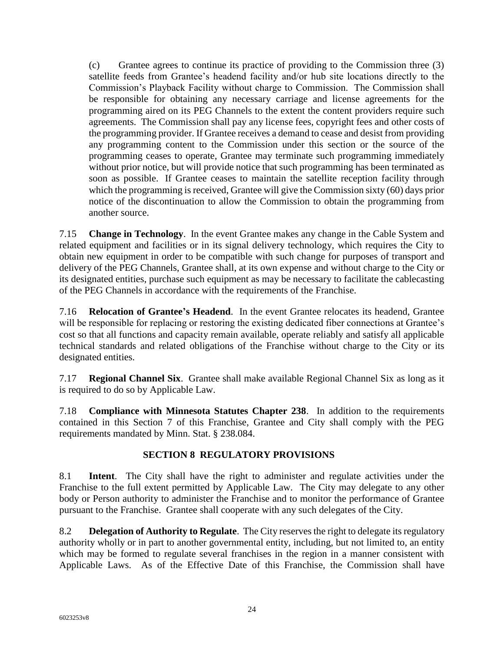(c) Grantee agrees to continue its practice of providing to the Commission three (3) satellite feeds from Grantee's headend facility and/or hub site locations directly to the Commission's Playback Facility without charge to Commission. The Commission shall be responsible for obtaining any necessary carriage and license agreements for the programming aired on its PEG Channels to the extent the content providers require such agreements. The Commission shall pay any license fees, copyright fees and other costs of the programming provider. If Grantee receives a demand to cease and desist from providing any programming content to the Commission under this section or the source of the programming ceases to operate, Grantee may terminate such programming immediately without prior notice, but will provide notice that such programming has been terminated as soon as possible. If Grantee ceases to maintain the satellite reception facility through which the programming is received, Grantee will give the Commission sixty (60) days prior notice of the discontinuation to allow the Commission to obtain the programming from another source.

7.15 **Change in Technology**. In the event Grantee makes any change in the Cable System and related equipment and facilities or in its signal delivery technology, which requires the City to obtain new equipment in order to be compatible with such change for purposes of transport and delivery of the PEG Channels, Grantee shall, at its own expense and without charge to the City or its designated entities, purchase such equipment as may be necessary to facilitate the cablecasting of the PEG Channels in accordance with the requirements of the Franchise.

7.16 **Relocation of Grantee's Headend**. In the event Grantee relocates its headend, Grantee will be responsible for replacing or restoring the existing dedicated fiber connections at Grantee's cost so that all functions and capacity remain available, operate reliably and satisfy all applicable technical standards and related obligations of the Franchise without charge to the City or its designated entities.

7.17 **Regional Channel Six**. Grantee shall make available Regional Channel Six as long as it is required to do so by Applicable Law.

7.18 **Compliance with Minnesota Statutes Chapter 238**. In addition to the requirements contained in this Section 7 of this Franchise, Grantee and City shall comply with the PEG requirements mandated by Minn. Stat. § 238.084.

# <span id="page-25-0"></span>**SECTION 8 REGULATORY PROVISIONS**

8.1 **Intent**. The City shall have the right to administer and regulate activities under the Franchise to the full extent permitted by Applicable Law. The City may delegate to any other body or Person authority to administer the Franchise and to monitor the performance of Grantee pursuant to the Franchise. Grantee shall cooperate with any such delegates of the City.

8.2 **Delegation of Authority to Regulate**. The City reserves the right to delegate its regulatory authority wholly or in part to another governmental entity, including, but not limited to, an entity which may be formed to regulate several franchises in the region in a manner consistent with Applicable Laws. As of the Effective Date of this Franchise, the Commission shall have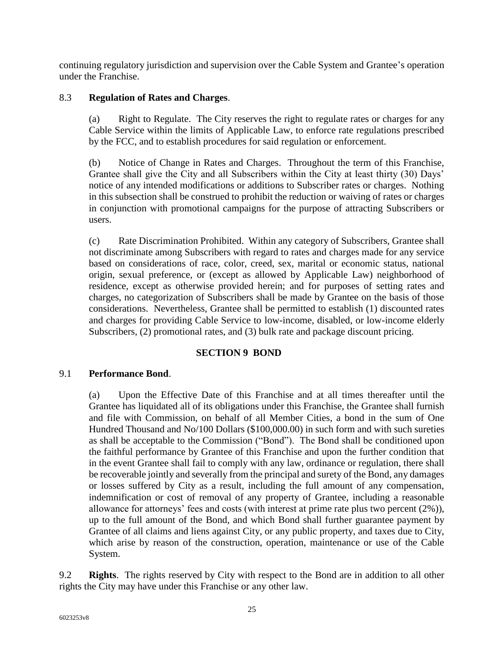continuing regulatory jurisdiction and supervision over the Cable System and Grantee's operation under the Franchise.

#### 8.3 **Regulation of Rates and Charges**.

(a) Right to Regulate. The City reserves the right to regulate rates or charges for any Cable Service within the limits of Applicable Law, to enforce rate regulations prescribed by the FCC, and to establish procedures for said regulation or enforcement.

(b) Notice of Change in Rates and Charges. Throughout the term of this Franchise, Grantee shall give the City and all Subscribers within the City at least thirty (30) Days' notice of any intended modifications or additions to Subscriber rates or charges. Nothing in this subsection shall be construed to prohibit the reduction or waiving of rates or charges in conjunction with promotional campaigns for the purpose of attracting Subscribers or users.

(c) Rate Discrimination Prohibited. Within any category of Subscribers, Grantee shall not discriminate among Subscribers with regard to rates and charges made for any service based on considerations of race, color, creed, sex, marital or economic status, national origin, sexual preference, or (except as allowed by Applicable Law) neighborhood of residence, except as otherwise provided herein; and for purposes of setting rates and charges, no categorization of Subscribers shall be made by Grantee on the basis of those considerations. Nevertheless, Grantee shall be permitted to establish (1) discounted rates and charges for providing Cable Service to low-income, disabled, or low-income elderly Subscribers, (2) promotional rates, and (3) bulk rate and package discount pricing.

# <span id="page-26-0"></span>**SECTION 9 BOND**

#### 9.1 **Performance Bond**.

(a) Upon the Effective Date of this Franchise and at all times thereafter until the Grantee has liquidated all of its obligations under this Franchise, the Grantee shall furnish and file with Commission, on behalf of all Member Cities, a bond in the sum of One Hundred Thousand and No/100 Dollars (\$100,000.00) in such form and with such sureties as shall be acceptable to the Commission ("Bond"). The Bond shall be conditioned upon the faithful performance by Grantee of this Franchise and upon the further condition that in the event Grantee shall fail to comply with any law, ordinance or regulation, there shall be recoverable jointly and severally from the principal and surety of the Bond, any damages or losses suffered by City as a result, including the full amount of any compensation, indemnification or cost of removal of any property of Grantee, including a reasonable allowance for attorneys' fees and costs (with interest at prime rate plus two percent (2%)), up to the full amount of the Bond, and which Bond shall further guarantee payment by Grantee of all claims and liens against City, or any public property, and taxes due to City, which arise by reason of the construction, operation, maintenance or use of the Cable System.

9.2 **Rights**. The rights reserved by City with respect to the Bond are in addition to all other rights the City may have under this Franchise or any other law.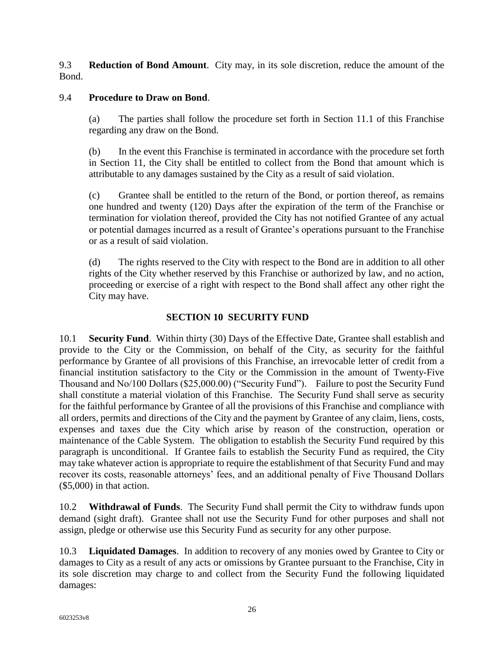9.3 **Reduction of Bond Amount**. City may, in its sole discretion, reduce the amount of the Bond.

#### 9.4 **Procedure to Draw on Bond**.

(a) The parties shall follow the procedure set forth in Section 11.1 of this Franchise regarding any draw on the Bond.

(b) In the event this Franchise is terminated in accordance with the procedure set forth in Section 11, the City shall be entitled to collect from the Bond that amount which is attributable to any damages sustained by the City as a result of said violation.

(c) Grantee shall be entitled to the return of the Bond, or portion thereof, as remains one hundred and twenty (120) Days after the expiration of the term of the Franchise or termination for violation thereof, provided the City has not notified Grantee of any actual or potential damages incurred as a result of Grantee's operations pursuant to the Franchise or as a result of said violation.

(d) The rights reserved to the City with respect to the Bond are in addition to all other rights of the City whether reserved by this Franchise or authorized by law, and no action, proceeding or exercise of a right with respect to the Bond shall affect any other right the City may have.

#### <span id="page-27-0"></span>**SECTION 10 SECURITY FUND**

10.1 **Security Fund**. Within thirty (30) Days of the Effective Date, Grantee shall establish and provide to the City or the Commission, on behalf of the City, as security for the faithful performance by Grantee of all provisions of this Franchise, an irrevocable letter of credit from a financial institution satisfactory to the City or the Commission in the amount of Twenty-Five Thousand and No/100 Dollars (\$25,000.00) ("Security Fund"). Failure to post the Security Fund shall constitute a material violation of this Franchise. The Security Fund shall serve as security for the faithful performance by Grantee of all the provisions of this Franchise and compliance with all orders, permits and directions of the City and the payment by Grantee of any claim, liens, costs, expenses and taxes due the City which arise by reason of the construction, operation or maintenance of the Cable System. The obligation to establish the Security Fund required by this paragraph is unconditional. If Grantee fails to establish the Security Fund as required, the City may take whatever action is appropriate to require the establishment of that Security Fund and may recover its costs, reasonable attorneys' fees, and an additional penalty of Five Thousand Dollars (\$5,000) in that action.

10.2 **Withdrawal of Funds**. The Security Fund shall permit the City to withdraw funds upon demand (sight draft). Grantee shall not use the Security Fund for other purposes and shall not assign, pledge or otherwise use this Security Fund as security for any other purpose.

10.3 **Liquidated Damages**. In addition to recovery of any monies owed by Grantee to City or damages to City as a result of any acts or omissions by Grantee pursuant to the Franchise, City in its sole discretion may charge to and collect from the Security Fund the following liquidated damages: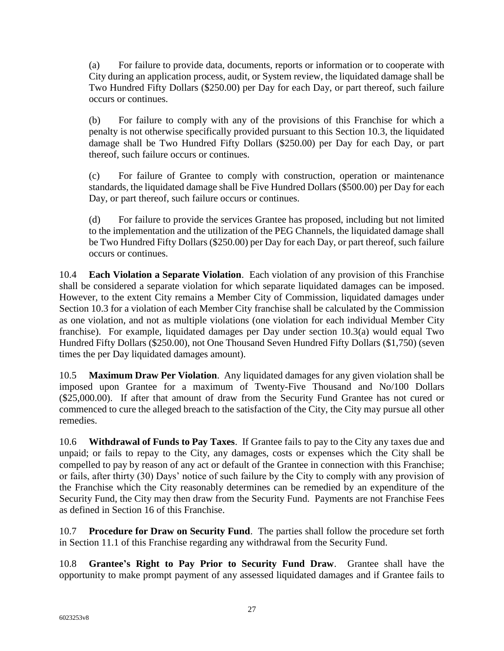(a) For failure to provide data, documents, reports or information or to cooperate with City during an application process, audit, or System review, the liquidated damage shall be Two Hundred Fifty Dollars (\$250.00) per Day for each Day, or part thereof, such failure occurs or continues.

(b) For failure to comply with any of the provisions of this Franchise for which a penalty is not otherwise specifically provided pursuant to this Section 10.3, the liquidated damage shall be Two Hundred Fifty Dollars (\$250.00) per Day for each Day, or part thereof, such failure occurs or continues.

(c) For failure of Grantee to comply with construction, operation or maintenance standards, the liquidated damage shall be Five Hundred Dollars (\$500.00) per Day for each Day, or part thereof, such failure occurs or continues.

(d) For failure to provide the services Grantee has proposed, including but not limited to the implementation and the utilization of the PEG Channels, the liquidated damage shall be Two Hundred Fifty Dollars (\$250.00) per Day for each Day, or part thereof, such failure occurs or continues.

10.4 **Each Violation a Separate Violation**. Each violation of any provision of this Franchise shall be considered a separate violation for which separate liquidated damages can be imposed. However, to the extent City remains a Member City of Commission, liquidated damages under Section 10.3 for a violation of each Member City franchise shall be calculated by the Commission as one violation, and not as multiple violations (one violation for each individual Member City franchise). For example, liquidated damages per Day under section 10.3(a) would equal Two Hundred Fifty Dollars (\$250.00), not One Thousand Seven Hundred Fifty Dollars (\$1,750) (seven times the per Day liquidated damages amount).

10.5 **Maximum Draw Per Violation**. Any liquidated damages for any given violation shall be imposed upon Grantee for a maximum of Twenty-Five Thousand and No/100 Dollars (\$25,000.00). If after that amount of draw from the Security Fund Grantee has not cured or commenced to cure the alleged breach to the satisfaction of the City, the City may pursue all other remedies.

10.6 **Withdrawal of Funds to Pay Taxes**. If Grantee fails to pay to the City any taxes due and unpaid; or fails to repay to the City, any damages, costs or expenses which the City shall be compelled to pay by reason of any act or default of the Grantee in connection with this Franchise; or fails, after thirty (30) Days' notice of such failure by the City to comply with any provision of the Franchise which the City reasonably determines can be remedied by an expenditure of the Security Fund, the City may then draw from the Security Fund. Payments are not Franchise Fees as defined in Section 16 of this Franchise.

10.7 **Procedure for Draw on Security Fund**. The parties shall follow the procedure set forth in Section 11.1 of this Franchise regarding any withdrawal from the Security Fund.

10.8 **Grantee's Right to Pay Prior to Security Fund Draw**. Grantee shall have the opportunity to make prompt payment of any assessed liquidated damages and if Grantee fails to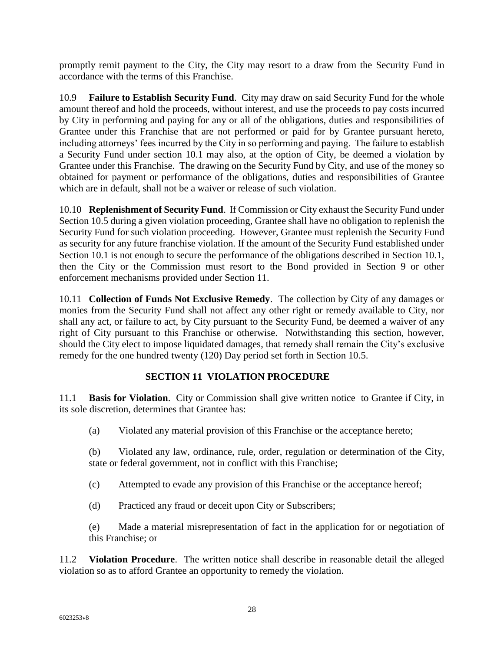promptly remit payment to the City, the City may resort to a draw from the Security Fund in accordance with the terms of this Franchise.

10.9 **Failure to Establish Security Fund**. City may draw on said Security Fund for the whole amount thereof and hold the proceeds, without interest, and use the proceeds to pay costs incurred by City in performing and paying for any or all of the obligations, duties and responsibilities of Grantee under this Franchise that are not performed or paid for by Grantee pursuant hereto, including attorneys' fees incurred by the City in so performing and paying. The failure to establish a Security Fund under section 10.1 may also, at the option of City, be deemed a violation by Grantee under this Franchise. The drawing on the Security Fund by City, and use of the money so obtained for payment or performance of the obligations, duties and responsibilities of Grantee which are in default, shall not be a waiver or release of such violation.

10.10 **Replenishment of Security Fund**. If Commission or City exhaust the Security Fund under Section 10.5 during a given violation proceeding, Grantee shall have no obligation to replenish the Security Fund for such violation proceeding. However, Grantee must replenish the Security Fund as security for any future franchise violation. If the amount of the Security Fund established under Section 10.1 is not enough to secure the performance of the obligations described in Section 10.1, then the City or the Commission must resort to the Bond provided in Section 9 or other enforcement mechanisms provided under Section 11.

10.11 **Collection of Funds Not Exclusive Remedy**. The collection by City of any damages or monies from the Security Fund shall not affect any other right or remedy available to City, nor shall any act, or failure to act, by City pursuant to the Security Fund, be deemed a waiver of any right of City pursuant to this Franchise or otherwise. Notwithstanding this section, however, should the City elect to impose liquidated damages, that remedy shall remain the City's exclusive remedy for the one hundred twenty (120) Day period set forth in Section 10.5.

# <span id="page-29-0"></span>**SECTION 11 VIOLATION PROCEDURE**

11.1 **Basis for Violation**. City or Commission shall give written notice to Grantee if City, in its sole discretion, determines that Grantee has:

- (a) Violated any material provision of this Franchise or the acceptance hereto;
- (b) Violated any law, ordinance, rule, order, regulation or determination of the City, state or federal government, not in conflict with this Franchise;
- (c) Attempted to evade any provision of this Franchise or the acceptance hereof;
- (d) Practiced any fraud or deceit upon City or Subscribers;

(e) Made a material misrepresentation of fact in the application for or negotiation of this Franchise; or

11.2 **Violation Procedure**. The written notice shall describe in reasonable detail the alleged violation so as to afford Grantee an opportunity to remedy the violation.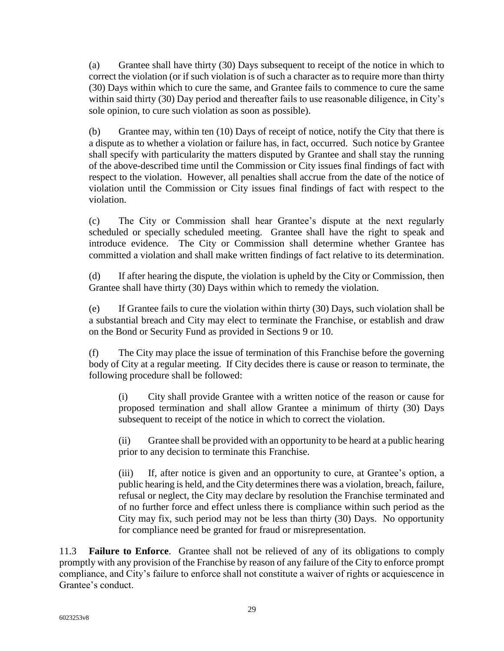(a) Grantee shall have thirty (30) Days subsequent to receipt of the notice in which to correct the violation (or if such violation is of such a character as to require more than thirty (30) Days within which to cure the same, and Grantee fails to commence to cure the same within said thirty (30) Day period and thereafter fails to use reasonable diligence, in City's sole opinion, to cure such violation as soon as possible).

(b) Grantee may, within ten (10) Days of receipt of notice, notify the City that there is a dispute as to whether a violation or failure has, in fact, occurred. Such notice by Grantee shall specify with particularity the matters disputed by Grantee and shall stay the running of the above-described time until the Commission or City issues final findings of fact with respect to the violation. However, all penalties shall accrue from the date of the notice of violation until the Commission or City issues final findings of fact with respect to the violation.

(c) The City or Commission shall hear Grantee's dispute at the next regularly scheduled or specially scheduled meeting. Grantee shall have the right to speak and introduce evidence. The City or Commission shall determine whether Grantee has committed a violation and shall make written findings of fact relative to its determination.

(d) If after hearing the dispute, the violation is upheld by the City or Commission, then Grantee shall have thirty (30) Days within which to remedy the violation.

(e) If Grantee fails to cure the violation within thirty (30) Days, such violation shall be a substantial breach and City may elect to terminate the Franchise, or establish and draw on the Bond or Security Fund as provided in Sections 9 or 10.

(f) The City may place the issue of termination of this Franchise before the governing body of City at a regular meeting. If City decides there is cause or reason to terminate, the following procedure shall be followed:

(i) City shall provide Grantee with a written notice of the reason or cause for proposed termination and shall allow Grantee a minimum of thirty (30) Days subsequent to receipt of the notice in which to correct the violation.

(ii) Grantee shall be provided with an opportunity to be heard at a public hearing prior to any decision to terminate this Franchise.

(iii) If, after notice is given and an opportunity to cure, at Grantee's option, a public hearing is held, and the City determines there was a violation, breach, failure, refusal or neglect, the City may declare by resolution the Franchise terminated and of no further force and effect unless there is compliance within such period as the City may fix, such period may not be less than thirty (30) Days. No opportunity for compliance need be granted for fraud or misrepresentation.

11.3 **Failure to Enforce**. Grantee shall not be relieved of any of its obligations to comply promptly with any provision of the Franchise by reason of any failure of the City to enforce prompt compliance, and City's failure to enforce shall not constitute a waiver of rights or acquiescence in Grantee's conduct.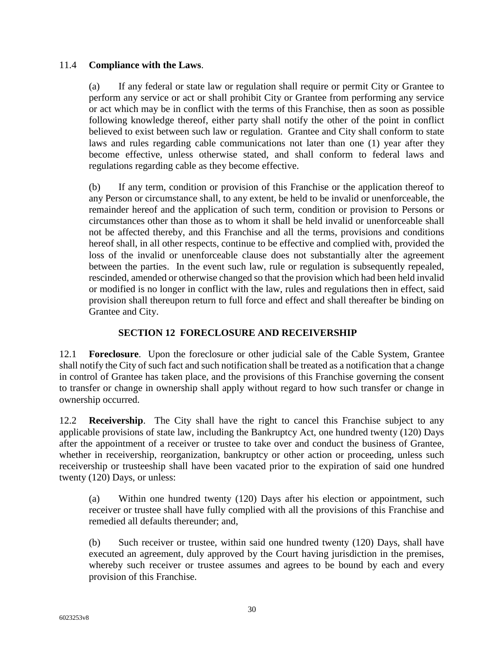#### 11.4 **Compliance with the Laws**.

(a) If any federal or state law or regulation shall require or permit City or Grantee to perform any service or act or shall prohibit City or Grantee from performing any service or act which may be in conflict with the terms of this Franchise, then as soon as possible following knowledge thereof, either party shall notify the other of the point in conflict believed to exist between such law or regulation. Grantee and City shall conform to state laws and rules regarding cable communications not later than one (1) year after they become effective, unless otherwise stated, and shall conform to federal laws and regulations regarding cable as they become effective.

(b) If any term, condition or provision of this Franchise or the application thereof to any Person or circumstance shall, to any extent, be held to be invalid or unenforceable, the remainder hereof and the application of such term, condition or provision to Persons or circumstances other than those as to whom it shall be held invalid or unenforceable shall not be affected thereby, and this Franchise and all the terms, provisions and conditions hereof shall, in all other respects, continue to be effective and complied with, provided the loss of the invalid or unenforceable clause does not substantially alter the agreement between the parties. In the event such law, rule or regulation is subsequently repealed, rescinded, amended or otherwise changed so that the provision which had been held invalid or modified is no longer in conflict with the law, rules and regulations then in effect, said provision shall thereupon return to full force and effect and shall thereafter be binding on Grantee and City.

#### <span id="page-31-0"></span>**SECTION 12 FORECLOSURE AND RECEIVERSHIP**

12.1 **Foreclosure**. Upon the foreclosure or other judicial sale of the Cable System, Grantee shall notify the City of such fact and such notification shall be treated as a notification that a change in control of Grantee has taken place, and the provisions of this Franchise governing the consent to transfer or change in ownership shall apply without regard to how such transfer or change in ownership occurred.

12.2 **Receivership**. The City shall have the right to cancel this Franchise subject to any applicable provisions of state law, including the Bankruptcy Act, one hundred twenty (120) Days after the appointment of a receiver or trustee to take over and conduct the business of Grantee, whether in receivership, reorganization, bankruptcy or other action or proceeding, unless such receivership or trusteeship shall have been vacated prior to the expiration of said one hundred twenty (120) Days, or unless:

(a) Within one hundred twenty (120) Days after his election or appointment, such receiver or trustee shall have fully complied with all the provisions of this Franchise and remedied all defaults thereunder; and,

(b) Such receiver or trustee, within said one hundred twenty (120) Days, shall have executed an agreement, duly approved by the Court having jurisdiction in the premises, whereby such receiver or trustee assumes and agrees to be bound by each and every provision of this Franchise.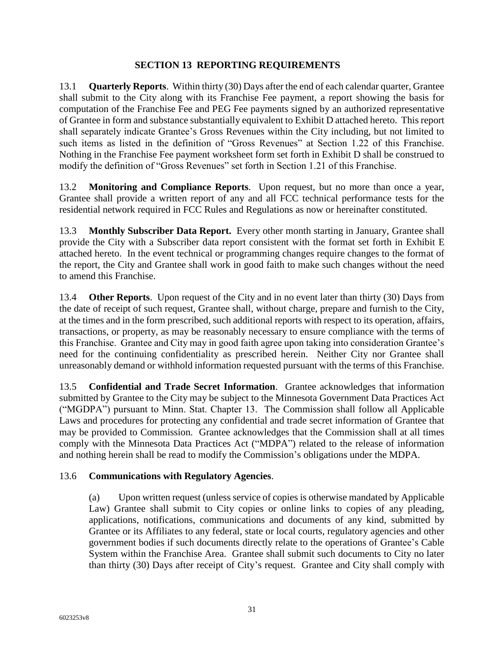#### <span id="page-32-0"></span>**SECTION 13 REPORTING REQUIREMENTS**

13.1 **Quarterly Reports**. Within thirty (30) Days after the end of each calendar quarter, Grantee shall submit to the City along with its Franchise Fee payment, a report showing the basis for computation of the Franchise Fee and PEG Fee payments signed by an authorized representative of Grantee in form and substance substantially equivalent to Exhibit D attached hereto. This report shall separately indicate Grantee's Gross Revenues within the City including, but not limited to such items as listed in the definition of "Gross Revenues" at Section 1.22 of this Franchise. Nothing in the Franchise Fee payment worksheet form set forth in Exhibit D shall be construed to modify the definition of "Gross Revenues" set forth in Section 1.21 of this Franchise.

13.2 **Monitoring and Compliance Reports**. Upon request, but no more than once a year, Grantee shall provide a written report of any and all FCC technical performance tests for the residential network required in FCC Rules and Regulations as now or hereinafter constituted.

13.3 **Monthly Subscriber Data Report.** Every other month starting in January, Grantee shall provide the City with a Subscriber data report consistent with the format set forth in Exhibit E attached hereto. In the event technical or programming changes require changes to the format of the report, the City and Grantee shall work in good faith to make such changes without the need to amend this Franchise.

13.4 **Other Reports**. Upon request of the City and in no event later than thirty (30) Days from the date of receipt of such request, Grantee shall, without charge, prepare and furnish to the City, at the times and in the form prescribed, such additional reports with respect to its operation, affairs, transactions, or property, as may be reasonably necessary to ensure compliance with the terms of this Franchise. Grantee and City may in good faith agree upon taking into consideration Grantee's need for the continuing confidentiality as prescribed herein. Neither City nor Grantee shall unreasonably demand or withhold information requested pursuant with the terms of this Franchise.

13.5 **Confidential and Trade Secret Information**. Grantee acknowledges that information submitted by Grantee to the City may be subject to the Minnesota Government Data Practices Act ("MGDPA") pursuant to Minn. Stat. Chapter 13. The Commission shall follow all Applicable Laws and procedures for protecting any confidential and trade secret information of Grantee that may be provided to Commission. Grantee acknowledges that the Commission shall at all times comply with the Minnesota Data Practices Act ("MDPA") related to the release of information and nothing herein shall be read to modify the Commission's obligations under the MDPA.

#### 13.6 **Communications with Regulatory Agencies**.

(a) Upon written request (unless service of copies is otherwise mandated by Applicable Law) Grantee shall submit to City copies or online links to copies of any pleading, applications, notifications, communications and documents of any kind, submitted by Grantee or its Affiliates to any federal, state or local courts, regulatory agencies and other government bodies if such documents directly relate to the operations of Grantee's Cable System within the Franchise Area. Grantee shall submit such documents to City no later than thirty (30) Days after receipt of City's request. Grantee and City shall comply with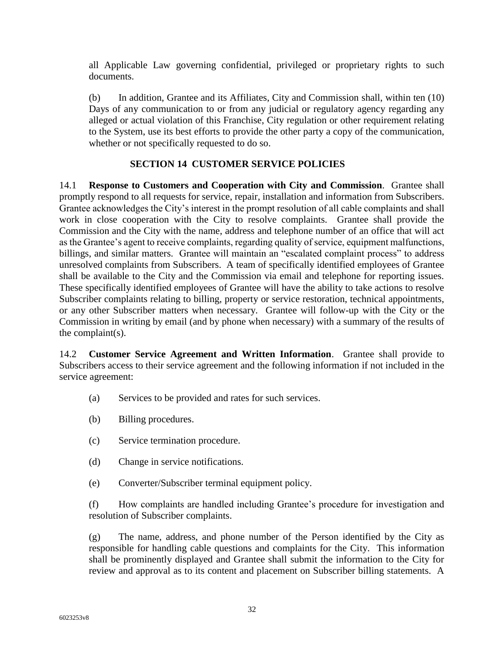all Applicable Law governing confidential, privileged or proprietary rights to such documents.

(b) In addition, Grantee and its Affiliates, City and Commission shall, within ten (10) Days of any communication to or from any judicial or regulatory agency regarding any alleged or actual violation of this Franchise, City regulation or other requirement relating to the System, use its best efforts to provide the other party a copy of the communication, whether or not specifically requested to do so.

#### <span id="page-33-0"></span>**SECTION 14 CUSTOMER SERVICE POLICIES**

14.1 **Response to Customers and Cooperation with City and Commission**. Grantee shall promptly respond to all requests for service, repair, installation and information from Subscribers. Grantee acknowledges the City's interest in the prompt resolution of all cable complaints and shall work in close cooperation with the City to resolve complaints. Grantee shall provide the Commission and the City with the name, address and telephone number of an office that will act as the Grantee's agent to receive complaints, regarding quality of service, equipment malfunctions, billings, and similar matters. Grantee will maintain an "escalated complaint process" to address unresolved complaints from Subscribers. A team of specifically identified employees of Grantee shall be available to the City and the Commission via email and telephone for reporting issues. These specifically identified employees of Grantee will have the ability to take actions to resolve Subscriber complaints relating to billing, property or service restoration, technical appointments, or any other Subscriber matters when necessary. Grantee will follow-up with the City or the Commission in writing by email (and by phone when necessary) with a summary of the results of the complaint(s).

14.2 **Customer Service Agreement and Written Information**. Grantee shall provide to Subscribers access to their service agreement and the following information if not included in the service agreement:

- (a) Services to be provided and rates for such services.
- (b) Billing procedures.
- (c) Service termination procedure.
- (d) Change in service notifications.
- (e) Converter/Subscriber terminal equipment policy.

(f) How complaints are handled including Grantee's procedure for investigation and resolution of Subscriber complaints.

(g) The name, address, and phone number of the Person identified by the City as responsible for handling cable questions and complaints for the City. This information shall be prominently displayed and Grantee shall submit the information to the City for review and approval as to its content and placement on Subscriber billing statements. A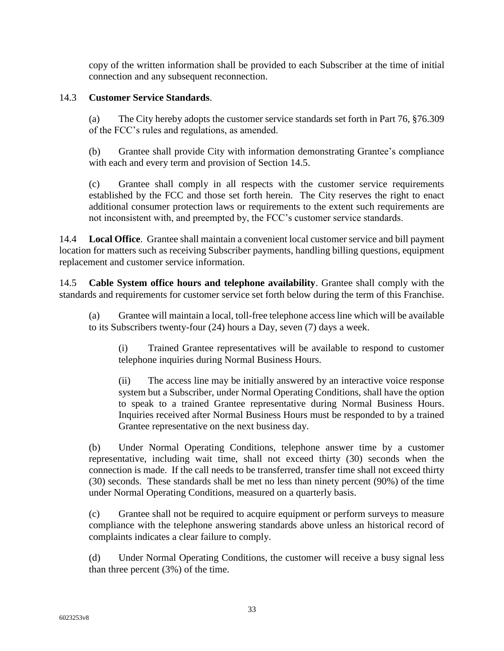copy of the written information shall be provided to each Subscriber at the time of initial connection and any subsequent reconnection.

#### 14.3 **Customer Service Standards**.

(a) The City hereby adopts the customer service standards set forth in Part 76, §76.309 of the FCC's rules and regulations, as amended.

(b) Grantee shall provide City with information demonstrating Grantee's compliance with each and every term and provision of Section 14.5.

(c) Grantee shall comply in all respects with the customer service requirements established by the FCC and those set forth herein. The City reserves the right to enact additional consumer protection laws or requirements to the extent such requirements are not inconsistent with, and preempted by, the FCC's customer service standards.

14.4 **Local Office**. Grantee shall maintain a convenient local customer service and bill payment location for matters such as receiving Subscriber payments, handling billing questions, equipment replacement and customer service information.

14.5 **Cable System office hours and telephone availability**. Grantee shall comply with the standards and requirements for customer service set forth below during the term of this Franchise.

(a) Grantee will maintain a local, toll-free telephone access line which will be available to its Subscribers twenty-four (24) hours a Day, seven (7) days a week.

(i) Trained Grantee representatives will be available to respond to customer telephone inquiries during Normal Business Hours.

(ii) The access line may be initially answered by an interactive voice response system but a Subscriber, under Normal Operating Conditions, shall have the option to speak to a trained Grantee representative during Normal Business Hours. Inquiries received after Normal Business Hours must be responded to by a trained Grantee representative on the next business day.

(b) Under Normal Operating Conditions, telephone answer time by a customer representative, including wait time, shall not exceed thirty (30) seconds when the connection is made. If the call needs to be transferred, transfer time shall not exceed thirty (30) seconds. These standards shall be met no less than ninety percent (90%) of the time under Normal Operating Conditions, measured on a quarterly basis.

(c) Grantee shall not be required to acquire equipment or perform surveys to measure compliance with the telephone answering standards above unless an historical record of complaints indicates a clear failure to comply.

(d) Under Normal Operating Conditions, the customer will receive a busy signal less than three percent (3%) of the time.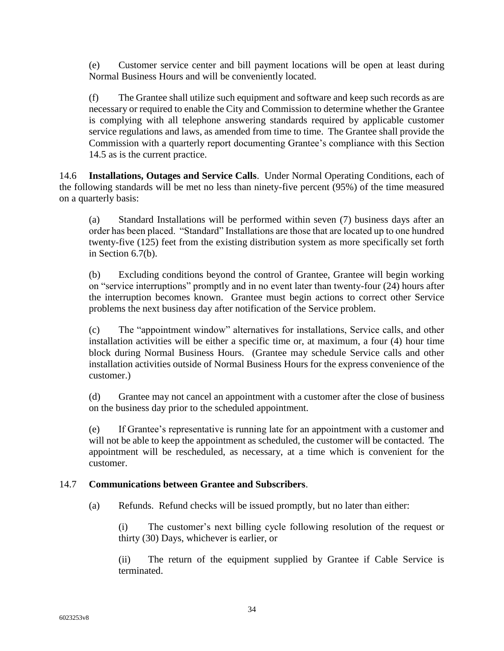(e) Customer service center and bill payment locations will be open at least during Normal Business Hours and will be conveniently located.

(f) The Grantee shall utilize such equipment and software and keep such records as are necessary or required to enable the City and Commission to determine whether the Grantee is complying with all telephone answering standards required by applicable customer service regulations and laws, as amended from time to time. The Grantee shall provide the Commission with a quarterly report documenting Grantee's compliance with this Section 14.5 as is the current practice.

14.6 **Installations, Outages and Service Calls**. Under Normal Operating Conditions, each of the following standards will be met no less than ninety-five percent (95%) of the time measured on a quarterly basis:

(a) Standard Installations will be performed within seven (7) business days after an order has been placed. "Standard" Installations are those that are located up to one hundred twenty-five (125) feet from the existing distribution system as more specifically set forth in Section 6.7(b).

(b) Excluding conditions beyond the control of Grantee, Grantee will begin working on "service interruptions" promptly and in no event later than twenty-four (24) hours after the interruption becomes known. Grantee must begin actions to correct other Service problems the next business day after notification of the Service problem.

(c) The "appointment window" alternatives for installations, Service calls, and other installation activities will be either a specific time or, at maximum, a four (4) hour time block during Normal Business Hours. (Grantee may schedule Service calls and other installation activities outside of Normal Business Hours for the express convenience of the customer.)

(d) Grantee may not cancel an appointment with a customer after the close of business on the business day prior to the scheduled appointment.

(e) If Grantee's representative is running late for an appointment with a customer and will not be able to keep the appointment as scheduled, the customer will be contacted. The appointment will be rescheduled, as necessary, at a time which is convenient for the customer.

#### 14.7 **Communications between Grantee and Subscribers**.

(a) Refunds. Refund checks will be issued promptly, but no later than either:

(i) The customer's next billing cycle following resolution of the request or thirty (30) Days, whichever is earlier, or

(ii) The return of the equipment supplied by Grantee if Cable Service is terminated.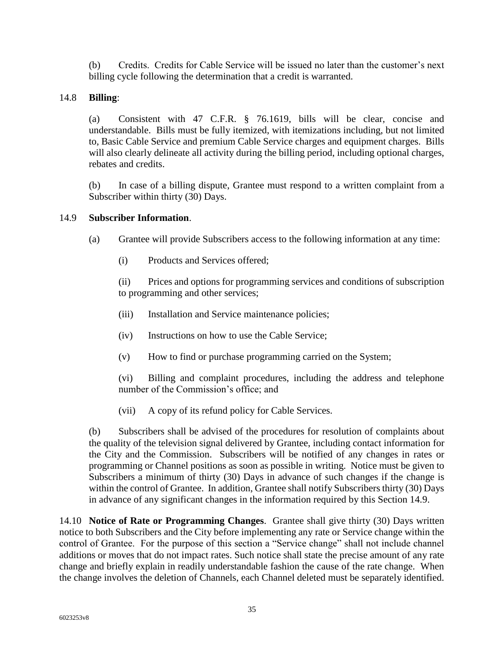(b) Credits. Credits for Cable Service will be issued no later than the customer's next billing cycle following the determination that a credit is warranted.

#### 14.8 **Billing**:

(a) Consistent with 47 C.F.R. § 76.1619, bills will be clear, concise and understandable. Bills must be fully itemized, with itemizations including, but not limited to, Basic Cable Service and premium Cable Service charges and equipment charges. Bills will also clearly delineate all activity during the billing period, including optional charges, rebates and credits.

(b) In case of a billing dispute, Grantee must respond to a written complaint from a Subscriber within thirty (30) Days.

#### 14.9 **Subscriber Information**.

- (a) Grantee will provide Subscribers access to the following information at any time:
	- (i) Products and Services offered;

(ii) Prices and options for programming services and conditions of subscription to programming and other services;

- (iii) Installation and Service maintenance policies;
- (iv) Instructions on how to use the Cable Service;
- (v) How to find or purchase programming carried on the System;

(vi) Billing and complaint procedures, including the address and telephone number of the Commission's office; and

(vii) A copy of its refund policy for Cable Services.

(b) Subscribers shall be advised of the procedures for resolution of complaints about the quality of the television signal delivered by Grantee, including contact information for the City and the Commission. Subscribers will be notified of any changes in rates or programming or Channel positions as soon as possible in writing. Notice must be given to Subscribers a minimum of thirty (30) Days in advance of such changes if the change is within the control of Grantee. In addition, Grantee shall notify Subscribers thirty (30) Days in advance of any significant changes in the information required by this Section 14.9.

14.10 **Notice of Rate or Programming Changes**. Grantee shall give thirty (30) Days written notice to both Subscribers and the City before implementing any rate or Service change within the control of Grantee. For the purpose of this section a "Service change" shall not include channel additions or moves that do not impact rates. Such notice shall state the precise amount of any rate change and briefly explain in readily understandable fashion the cause of the rate change. When the change involves the deletion of Channels, each Channel deleted must be separately identified.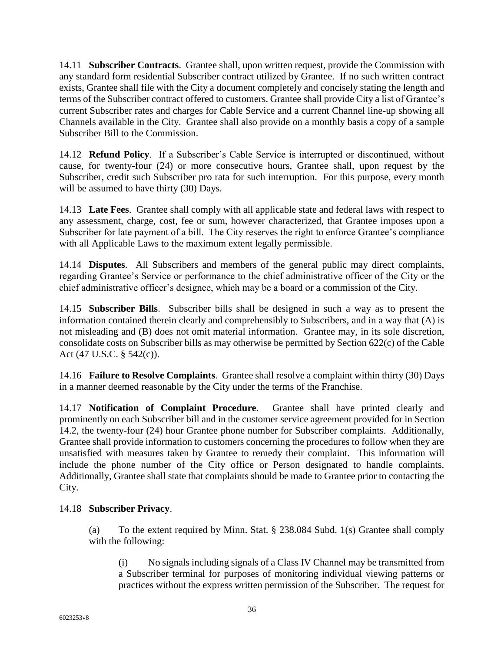14.11 **Subscriber Contracts**. Grantee shall, upon written request, provide the Commission with any standard form residential Subscriber contract utilized by Grantee. If no such written contract exists, Grantee shall file with the City a document completely and concisely stating the length and terms of the Subscriber contract offered to customers. Grantee shall provide City a list of Grantee's current Subscriber rates and charges for Cable Service and a current Channel line-up showing all Channels available in the City. Grantee shall also provide on a monthly basis a copy of a sample Subscriber Bill to the Commission.

14.12 **Refund Policy**. If a Subscriber's Cable Service is interrupted or discontinued, without cause, for twenty-four (24) or more consecutive hours, Grantee shall, upon request by the Subscriber, credit such Subscriber pro rata for such interruption. For this purpose, every month will be assumed to have thirty (30) Days.

14.13 **Late Fees**. Grantee shall comply with all applicable state and federal laws with respect to any assessment, charge, cost, fee or sum, however characterized, that Grantee imposes upon a Subscriber for late payment of a bill. The City reserves the right to enforce Grantee's compliance with all Applicable Laws to the maximum extent legally permissible.

14.14 **Disputes**. All Subscribers and members of the general public may direct complaints, regarding Grantee's Service or performance to the chief administrative officer of the City or the chief administrative officer's designee, which may be a board or a commission of the City.

14.15 **Subscriber Bills**. Subscriber bills shall be designed in such a way as to present the information contained therein clearly and comprehensibly to Subscribers, and in a way that (A) is not misleading and (B) does not omit material information. Grantee may, in its sole discretion, consolidate costs on Subscriber bills as may otherwise be permitted by Section 622(c) of the Cable Act (47 U.S.C. § 542(c)).

14.16 **Failure to Resolve Complaints**. Grantee shall resolve a complaint within thirty (30) Days in a manner deemed reasonable by the City under the terms of the Franchise.

14.17 **Notification of Complaint Procedure**. Grantee shall have printed clearly and prominently on each Subscriber bill and in the customer service agreement provided for in Section 14.2, the twenty-four (24) hour Grantee phone number for Subscriber complaints. Additionally, Grantee shall provide information to customers concerning the procedures to follow when they are unsatisfied with measures taken by Grantee to remedy their complaint. This information will include the phone number of the City office or Person designated to handle complaints. Additionally, Grantee shall state that complaints should be made to Grantee prior to contacting the City.

# 14.18 **Subscriber Privacy**.

(a) To the extent required by Minn. Stat. § 238.084 Subd. 1(s) Grantee shall comply with the following:

(i) No signals including signals of a Class IV Channel may be transmitted from a Subscriber terminal for purposes of monitoring individual viewing patterns or practices without the express written permission of the Subscriber. The request for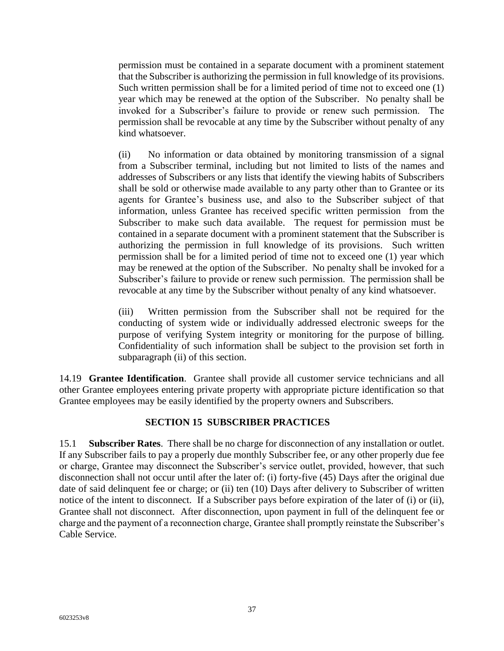permission must be contained in a separate document with a prominent statement that the Subscriber is authorizing the permission in full knowledge of its provisions. Such written permission shall be for a limited period of time not to exceed one (1) year which may be renewed at the option of the Subscriber. No penalty shall be invoked for a Subscriber's failure to provide or renew such permission. The permission shall be revocable at any time by the Subscriber without penalty of any kind whatsoever.

(ii) No information or data obtained by monitoring transmission of a signal from a Subscriber terminal, including but not limited to lists of the names and addresses of Subscribers or any lists that identify the viewing habits of Subscribers shall be sold or otherwise made available to any party other than to Grantee or its agents for Grantee's business use, and also to the Subscriber subject of that information, unless Grantee has received specific written permission from the Subscriber to make such data available. The request for permission must be contained in a separate document with a prominent statement that the Subscriber is authorizing the permission in full knowledge of its provisions. Such written permission shall be for a limited period of time not to exceed one (1) year which may be renewed at the option of the Subscriber. No penalty shall be invoked for a Subscriber's failure to provide or renew such permission. The permission shall be revocable at any time by the Subscriber without penalty of any kind whatsoever.

(iii) Written permission from the Subscriber shall not be required for the conducting of system wide or individually addressed electronic sweeps for the purpose of verifying System integrity or monitoring for the purpose of billing. Confidentiality of such information shall be subject to the provision set forth in subparagraph (ii) of this section.

14.19 **Grantee Identification**. Grantee shall provide all customer service technicians and all other Grantee employees entering private property with appropriate picture identification so that Grantee employees may be easily identified by the property owners and Subscribers.

#### <span id="page-38-0"></span>**SECTION 15 SUBSCRIBER PRACTICES**

15.1 **Subscriber Rates**. There shall be no charge for disconnection of any installation or outlet. If any Subscriber fails to pay a properly due monthly Subscriber fee, or any other properly due fee or charge, Grantee may disconnect the Subscriber's service outlet, provided, however, that such disconnection shall not occur until after the later of: (i) forty-five (45) Days after the original due date of said delinquent fee or charge; or (ii) ten (10) Days after delivery to Subscriber of written notice of the intent to disconnect. If a Subscriber pays before expiration of the later of (i) or (ii), Grantee shall not disconnect. After disconnection, upon payment in full of the delinquent fee or charge and the payment of a reconnection charge, Grantee shall promptly reinstate the Subscriber's Cable Service.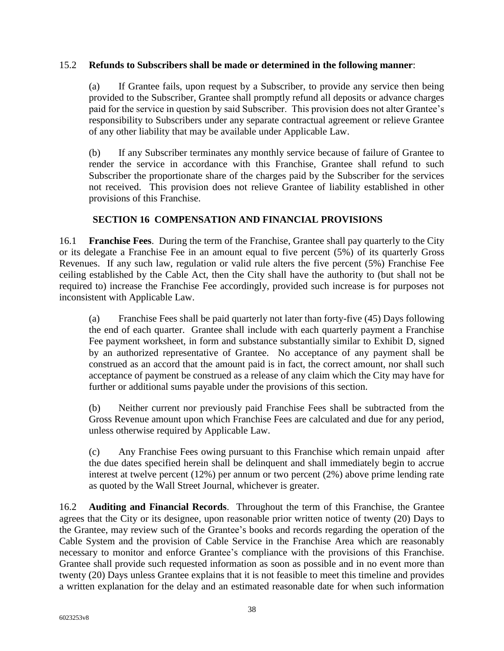#### 15.2 **Refunds to Subscribers shall be made or determined in the following manner**:

(a) If Grantee fails, upon request by a Subscriber, to provide any service then being provided to the Subscriber, Grantee shall promptly refund all deposits or advance charges paid for the service in question by said Subscriber. This provision does not alter Grantee's responsibility to Subscribers under any separate contractual agreement or relieve Grantee of any other liability that may be available under Applicable Law.

(b) If any Subscriber terminates any monthly service because of failure of Grantee to render the service in accordance with this Franchise, Grantee shall refund to such Subscriber the proportionate share of the charges paid by the Subscriber for the services not received. This provision does not relieve Grantee of liability established in other provisions of this Franchise.

#### <span id="page-39-0"></span>**SECTION 16 COMPENSATION AND FINANCIAL PROVISIONS**

16.1 **Franchise Fees**. During the term of the Franchise, Grantee shall pay quarterly to the City or its delegate a Franchise Fee in an amount equal to five percent (5%) of its quarterly Gross Revenues. If any such law, regulation or valid rule alters the five percent (5%) Franchise Fee ceiling established by the Cable Act, then the City shall have the authority to (but shall not be required to) increase the Franchise Fee accordingly, provided such increase is for purposes not inconsistent with Applicable Law.

(a) Franchise Fees shall be paid quarterly not later than forty-five (45) Days following the end of each quarter. Grantee shall include with each quarterly payment a Franchise Fee payment worksheet, in form and substance substantially similar to Exhibit D, signed by an authorized representative of Grantee. No acceptance of any payment shall be construed as an accord that the amount paid is in fact, the correct amount, nor shall such acceptance of payment be construed as a release of any claim which the City may have for further or additional sums payable under the provisions of this section.

(b) Neither current nor previously paid Franchise Fees shall be subtracted from the Gross Revenue amount upon which Franchise Fees are calculated and due for any period, unless otherwise required by Applicable Law.

(c) Any Franchise Fees owing pursuant to this Franchise which remain unpaid after the due dates specified herein shall be delinquent and shall immediately begin to accrue interest at twelve percent (12%) per annum or two percent (2%) above prime lending rate as quoted by the Wall Street Journal, whichever is greater.

16.2 **Auditing and Financial Records**. Throughout the term of this Franchise, the Grantee agrees that the City or its designee, upon reasonable prior written notice of twenty (20) Days to the Grantee, may review such of the Grantee's books and records regarding the operation of the Cable System and the provision of Cable Service in the Franchise Area which are reasonably necessary to monitor and enforce Grantee's compliance with the provisions of this Franchise. Grantee shall provide such requested information as soon as possible and in no event more than twenty (20) Days unless Grantee explains that it is not feasible to meet this timeline and provides a written explanation for the delay and an estimated reasonable date for when such information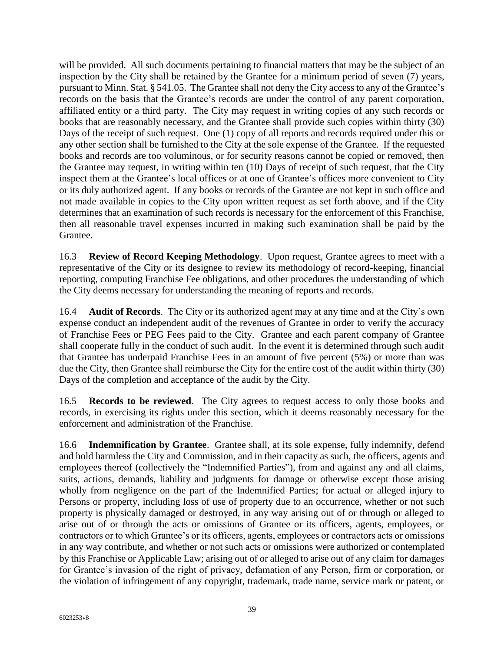will be provided. All such documents pertaining to financial matters that may be the subject of an inspection by the City shall be retained by the Grantee for a minimum period of seven (7) years, pursuant to Minn. Stat. § 541.05. The Grantee shall not deny the City access to any of the Grantee's records on the basis that the Grantee's records are under the control of any parent corporation, affiliated entity or a third party. The City may request in writing copies of any such records or books that are reasonably necessary, and the Grantee shall provide such copies within thirty (30) Days of the receipt of such request. One (1) copy of all reports and records required under this or any other section shall be furnished to the City at the sole expense of the Grantee. If the requested books and records are too voluminous, or for security reasons cannot be copied or removed, then the Grantee may request, in writing within ten (10) Days of receipt of such request, that the City inspect them at the Grantee's local offices or at one of Grantee's offices more convenient to City or its duly authorized agent. If any books or records of the Grantee are not kept in such office and not made available in copies to the City upon written request as set forth above, and if the City determines that an examination of such records is necessary for the enforcement of this Franchise, then all reasonable travel expenses incurred in making such examination shall be paid by the Grantee.

16.3 **Review of Record Keeping Methodology**. Upon request, Grantee agrees to meet with a representative of the City or its designee to review its methodology of record-keeping, financial reporting, computing Franchise Fee obligations, and other procedures the understanding of which the City deems necessary for understanding the meaning of reports and records.

16.4 **Audit of Records**. The City or its authorized agent may at any time and at the City's own expense conduct an independent audit of the revenues of Grantee in order to verify the accuracy of Franchise Fees or PEG Fees paid to the City. Grantee and each parent company of Grantee shall cooperate fully in the conduct of such audit. In the event it is determined through such audit that Grantee has underpaid Franchise Fees in an amount of five percent (5%) or more than was due the City, then Grantee shall reimburse the City for the entire cost of the audit within thirty (30) Days of the completion and acceptance of the audit by the City.

16.5 **Records to be reviewed**. The City agrees to request access to only those books and records, in exercising its rights under this section, which it deems reasonably necessary for the enforcement and administration of the Franchise.

16.6 **Indemnification by Grantee**. Grantee shall, at its sole expense, fully indemnify, defend and hold harmless the City and Commission, and in their capacity as such, the officers, agents and employees thereof (collectively the "Indemnified Parties"), from and against any and all claims, suits, actions, demands, liability and judgments for damage or otherwise except those arising wholly from negligence on the part of the Indemnified Parties; for actual or alleged injury to Persons or property, including loss of use of property due to an occurrence, whether or not such property is physically damaged or destroyed, in any way arising out of or through or alleged to arise out of or through the acts or omissions of Grantee or its officers, agents, employees, or contractors or to which Grantee's or its officers, agents, employees or contractors acts or omissions in any way contribute, and whether or not such acts or omissions were authorized or contemplated by this Franchise or Applicable Law; arising out of or alleged to arise out of any claim for damages for Grantee's invasion of the right of privacy, defamation of any Person, firm or corporation, or the violation of infringement of any copyright, trademark, trade name, service mark or patent, or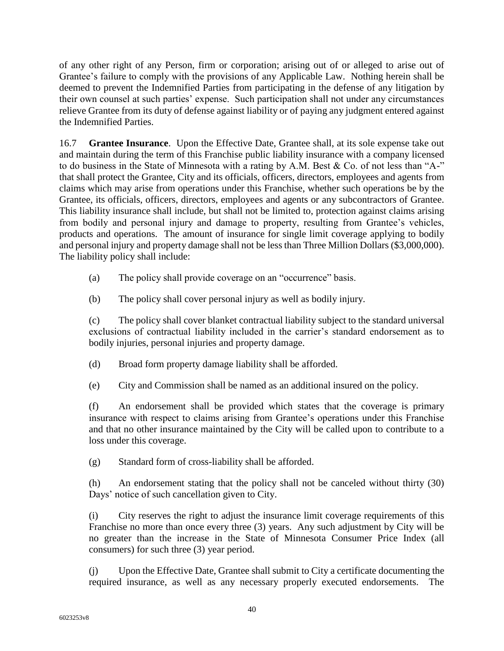of any other right of any Person, firm or corporation; arising out of or alleged to arise out of Grantee's failure to comply with the provisions of any Applicable Law. Nothing herein shall be deemed to prevent the Indemnified Parties from participating in the defense of any litigation by their own counsel at such parties' expense. Such participation shall not under any circumstances relieve Grantee from its duty of defense against liability or of paying any judgment entered against the Indemnified Parties.

16.7 **Grantee Insurance**. Upon the Effective Date, Grantee shall, at its sole expense take out and maintain during the term of this Franchise public liability insurance with a company licensed to do business in the State of Minnesota with a rating by A.M. Best & Co. of not less than "A-" that shall protect the Grantee, City and its officials, officers, directors, employees and agents from claims which may arise from operations under this Franchise, whether such operations be by the Grantee, its officials, officers, directors, employees and agents or any subcontractors of Grantee. This liability insurance shall include, but shall not be limited to, protection against claims arising from bodily and personal injury and damage to property, resulting from Grantee's vehicles, products and operations. The amount of insurance for single limit coverage applying to bodily and personal injury and property damage shall not be less than Three Million Dollars (\$3,000,000). The liability policy shall include:

- (a) The policy shall provide coverage on an "occurrence" basis.
- (b) The policy shall cover personal injury as well as bodily injury.

(c) The policy shall cover blanket contractual liability subject to the standard universal exclusions of contractual liability included in the carrier's standard endorsement as to bodily injuries, personal injuries and property damage.

- (d) Broad form property damage liability shall be afforded.
- (e) City and Commission shall be named as an additional insured on the policy.

(f) An endorsement shall be provided which states that the coverage is primary insurance with respect to claims arising from Grantee's operations under this Franchise and that no other insurance maintained by the City will be called upon to contribute to a loss under this coverage.

(g) Standard form of cross-liability shall be afforded.

(h) An endorsement stating that the policy shall not be canceled without thirty (30) Days' notice of such cancellation given to City.

(i) City reserves the right to adjust the insurance limit coverage requirements of this Franchise no more than once every three (3) years. Any such adjustment by City will be no greater than the increase in the State of Minnesota Consumer Price Index (all consumers) for such three (3) year period.

(j) Upon the Effective Date, Grantee shall submit to City a certificate documenting the required insurance, as well as any necessary properly executed endorsements. The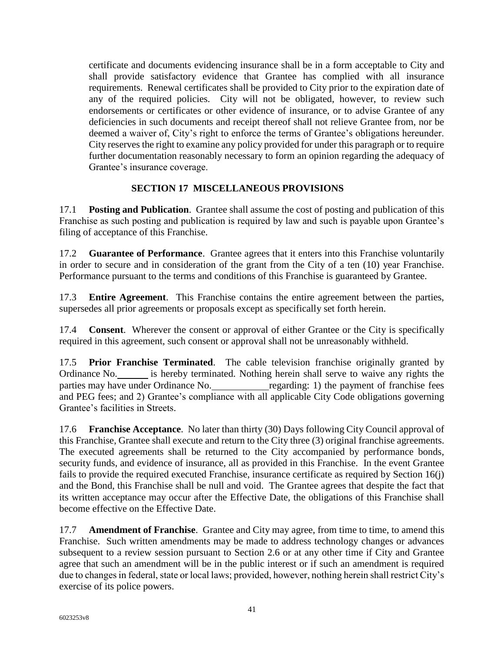certificate and documents evidencing insurance shall be in a form acceptable to City and shall provide satisfactory evidence that Grantee has complied with all insurance requirements. Renewal certificates shall be provided to City prior to the expiration date of any of the required policies. City will not be obligated, however, to review such endorsements or certificates or other evidence of insurance, or to advise Grantee of any deficiencies in such documents and receipt thereof shall not relieve Grantee from, nor be deemed a waiver of, City's right to enforce the terms of Grantee's obligations hereunder. City reserves the right to examine any policy provided for under this paragraph or to require further documentation reasonably necessary to form an opinion regarding the adequacy of Grantee's insurance coverage.

### <span id="page-42-0"></span>**SECTION 17 MISCELLANEOUS PROVISIONS**

17.1 **Posting and Publication**. Grantee shall assume the cost of posting and publication of this Franchise as such posting and publication is required by law and such is payable upon Grantee's filing of acceptance of this Franchise.

17.2 **Guarantee of Performance**. Grantee agrees that it enters into this Franchise voluntarily in order to secure and in consideration of the grant from the City of a ten (10) year Franchise. Performance pursuant to the terms and conditions of this Franchise is guaranteed by Grantee.

17.3 **Entire Agreement**. This Franchise contains the entire agreement between the parties, supersedes all prior agreements or proposals except as specifically set forth herein.

17.4 **Consent**. Wherever the consent or approval of either Grantee or the City is specifically required in this agreement, such consent or approval shall not be unreasonably withheld.

17.5 **Prior Franchise Terminated**. The cable television franchise originally granted by Ordinance No. is hereby terminated. Nothing herein shall serve to waive any rights the parties may have under Ordinance No. regarding: 1) the payment of franchise fees and PEG fees; and 2) Grantee's compliance with all applicable City Code obligations governing Grantee's facilities in Streets.

17.6 **Franchise Acceptance**. No later than thirty (30) Days following City Council approval of this Franchise, Grantee shall execute and return to the City three (3) original franchise agreements. The executed agreements shall be returned to the City accompanied by performance bonds, security funds, and evidence of insurance, all as provided in this Franchise. In the event Grantee fails to provide the required executed Franchise, insurance certificate as required by Section 16(j) and the Bond, this Franchise shall be null and void. The Grantee agrees that despite the fact that its written acceptance may occur after the Effective Date, the obligations of this Franchise shall become effective on the Effective Date.

17.7 **Amendment of Franchise**. Grantee and City may agree, from time to time, to amend this Franchise. Such written amendments may be made to address technology changes or advances subsequent to a review session pursuant to Section 2.6 or at any other time if City and Grantee agree that such an amendment will be in the public interest or if such an amendment is required due to changes in federal, state or local laws; provided, however, nothing herein shall restrict City's exercise of its police powers.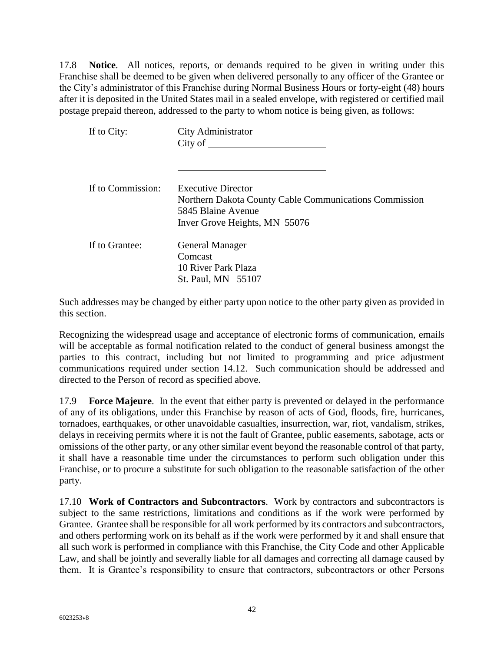17.8 **Notice**. All notices, reports, or demands required to be given in writing under this Franchise shall be deemed to be given when delivered personally to any officer of the Grantee or the City's administrator of this Franchise during Normal Business Hours or forty-eight (48) hours after it is deposited in the United States mail in a sealed envelope, with registered or certified mail postage prepaid thereon, addressed to the party to whom notice is being given, as follows:

| If to City:       | City Administrator<br>City of                                                                                                              |
|-------------------|--------------------------------------------------------------------------------------------------------------------------------------------|
| If to Commission: | <b>Executive Director</b><br>Northern Dakota County Cable Communications Commission<br>5845 Blaine Avenue<br>Inver Grove Heights, MN 55076 |
| If to Grantee:    | <b>General Manager</b><br>Comcast<br>10 River Park Plaza<br>St. Paul, MN 55107                                                             |

Such addresses may be changed by either party upon notice to the other party given as provided in this section.

Recognizing the widespread usage and acceptance of electronic forms of communication, emails will be acceptable as formal notification related to the conduct of general business amongst the parties to this contract, including but not limited to programming and price adjustment communications required under section 14.12. Such communication should be addressed and directed to the Person of record as specified above.

17.9 **Force Majeure**. In the event that either party is prevented or delayed in the performance of any of its obligations, under this Franchise by reason of acts of God, floods, fire, hurricanes, tornadoes, earthquakes, or other unavoidable casualties, insurrection, war, riot, vandalism, strikes, delays in receiving permits where it is not the fault of Grantee, public easements, sabotage, acts or omissions of the other party, or any other similar event beyond the reasonable control of that party, it shall have a reasonable time under the circumstances to perform such obligation under this Franchise, or to procure a substitute for such obligation to the reasonable satisfaction of the other party.

17.10 **Work of Contractors and Subcontractors**. Work by contractors and subcontractors is subject to the same restrictions, limitations and conditions as if the work were performed by Grantee. Grantee shall be responsible for all work performed by its contractors and subcontractors, and others performing work on its behalf as if the work were performed by it and shall ensure that all such work is performed in compliance with this Franchise, the City Code and other Applicable Law, and shall be jointly and severally liable for all damages and correcting all damage caused by them. It is Grantee's responsibility to ensure that contractors, subcontractors or other Persons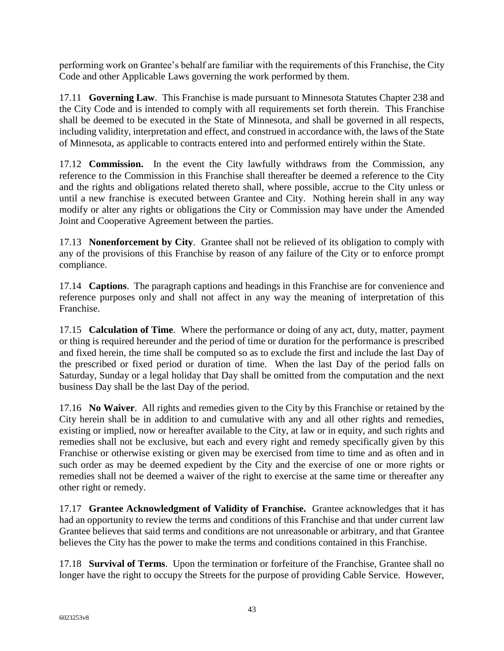performing work on Grantee's behalf are familiar with the requirements of this Franchise, the City Code and other Applicable Laws governing the work performed by them.

17.11 **Governing Law**. This Franchise is made pursuant to Minnesota Statutes Chapter 238 and the City Code and is intended to comply with all requirements set forth therein. This Franchise shall be deemed to be executed in the State of Minnesota, and shall be governed in all respects, including validity, interpretation and effect, and construed in accordance with, the laws of the State of Minnesota, as applicable to contracts entered into and performed entirely within the State.

17.12 **Commission.** In the event the City lawfully withdraws from the Commission, any reference to the Commission in this Franchise shall thereafter be deemed a reference to the City and the rights and obligations related thereto shall, where possible, accrue to the City unless or until a new franchise is executed between Grantee and City. Nothing herein shall in any way modify or alter any rights or obligations the City or Commission may have under the Amended Joint and Cooperative Agreement between the parties.

17.13 **Nonenforcement by City**. Grantee shall not be relieved of its obligation to comply with any of the provisions of this Franchise by reason of any failure of the City or to enforce prompt compliance.

17.14 **Captions**. The paragraph captions and headings in this Franchise are for convenience and reference purposes only and shall not affect in any way the meaning of interpretation of this Franchise.

17.15 **Calculation of Time**. Where the performance or doing of any act, duty, matter, payment or thing is required hereunder and the period of time or duration for the performance is prescribed and fixed herein, the time shall be computed so as to exclude the first and include the last Day of the prescribed or fixed period or duration of time. When the last Day of the period falls on Saturday, Sunday or a legal holiday that Day shall be omitted from the computation and the next business Day shall be the last Day of the period.

17.16 **No Waiver**. All rights and remedies given to the City by this Franchise or retained by the City herein shall be in addition to and cumulative with any and all other rights and remedies, existing or implied, now or hereafter available to the City, at law or in equity, and such rights and remedies shall not be exclusive, but each and every right and remedy specifically given by this Franchise or otherwise existing or given may be exercised from time to time and as often and in such order as may be deemed expedient by the City and the exercise of one or more rights or remedies shall not be deemed a waiver of the right to exercise at the same time or thereafter any other right or remedy.

17.17 **Grantee Acknowledgment of Validity of Franchise.** Grantee acknowledges that it has had an opportunity to review the terms and conditions of this Franchise and that under current law Grantee believes that said terms and conditions are not unreasonable or arbitrary, and that Grantee believes the City has the power to make the terms and conditions contained in this Franchise.

17.18 **Survival of Terms**. Upon the termination or forfeiture of the Franchise, Grantee shall no longer have the right to occupy the Streets for the purpose of providing Cable Service. However,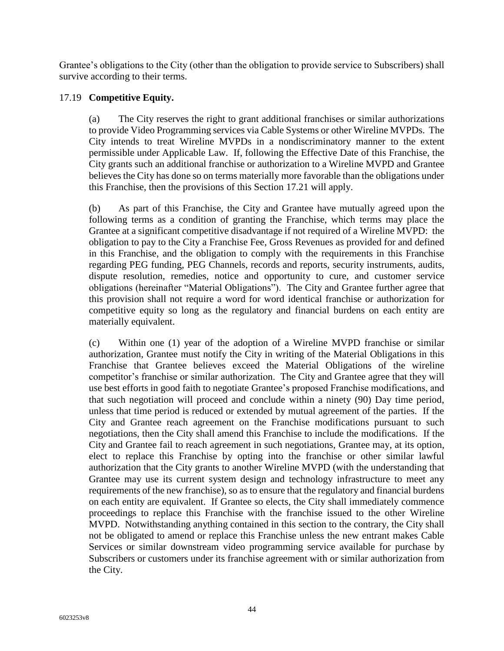Grantee's obligations to the City (other than the obligation to provide service to Subscribers) shall survive according to their terms.

#### 17.19 **Competitive Equity.**

(a) The City reserves the right to grant additional franchises or similar authorizations to provide Video Programming services via Cable Systems or other Wireline MVPDs. The City intends to treat Wireline MVPDs in a nondiscriminatory manner to the extent permissible under Applicable Law. If, following the Effective Date of this Franchise, the City grants such an additional franchise or authorization to a Wireline MVPD and Grantee believes the City has done so on terms materially more favorable than the obligations under this Franchise, then the provisions of this Section 17.21 will apply.

(b) As part of this Franchise, the City and Grantee have mutually agreed upon the following terms as a condition of granting the Franchise, which terms may place the Grantee at a significant competitive disadvantage if not required of a Wireline MVPD: the obligation to pay to the City a Franchise Fee, Gross Revenues as provided for and defined in this Franchise, and the obligation to comply with the requirements in this Franchise regarding PEG funding, PEG Channels, records and reports, security instruments, audits, dispute resolution, remedies, notice and opportunity to cure, and customer service obligations (hereinafter "Material Obligations"). The City and Grantee further agree that this provision shall not require a word for word identical franchise or authorization for competitive equity so long as the regulatory and financial burdens on each entity are materially equivalent.

(c) Within one (1) year of the adoption of a Wireline MVPD franchise or similar authorization, Grantee must notify the City in writing of the Material Obligations in this Franchise that Grantee believes exceed the Material Obligations of the wireline competitor's franchise or similar authorization. The City and Grantee agree that they will use best efforts in good faith to negotiate Grantee's proposed Franchise modifications, and that such negotiation will proceed and conclude within a ninety (90) Day time period, unless that time period is reduced or extended by mutual agreement of the parties. If the City and Grantee reach agreement on the Franchise modifications pursuant to such negotiations, then the City shall amend this Franchise to include the modifications. If the City and Grantee fail to reach agreement in such negotiations, Grantee may, at its option, elect to replace this Franchise by opting into the franchise or other similar lawful authorization that the City grants to another Wireline MVPD (with the understanding that Grantee may use its current system design and technology infrastructure to meet any requirements of the new franchise), so as to ensure that the regulatory and financial burdens on each entity are equivalent. If Grantee so elects, the City shall immediately commence proceedings to replace this Franchise with the franchise issued to the other Wireline MVPD. Notwithstanding anything contained in this section to the contrary, the City shall not be obligated to amend or replace this Franchise unless the new entrant makes Cable Services or similar downstream video programming service available for purchase by Subscribers or customers under its franchise agreement with or similar authorization from the City.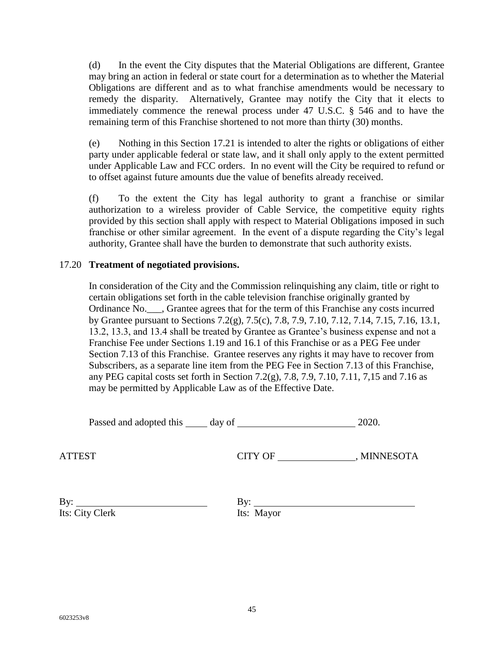(d) In the event the City disputes that the Material Obligations are different, Grantee may bring an action in federal or state court for a determination as to whether the Material Obligations are different and as to what franchise amendments would be necessary to remedy the disparity. Alternatively, Grantee may notify the City that it elects to immediately commence the renewal process under 47 U.S.C. § 546 and to have the remaining term of this Franchise shortened to not more than thirty (30) months.

(e) Nothing in this Section 17.21 is intended to alter the rights or obligations of either party under applicable federal or state law, and it shall only apply to the extent permitted under Applicable Law and FCC orders. In no event will the City be required to refund or to offset against future amounts due the value of benefits already received.

(f) To the extent the City has legal authority to grant a franchise or similar authorization to a wireless provider of Cable Service, the competitive equity rights provided by this section shall apply with respect to Material Obligations imposed in such franchise or other similar agreement. In the event of a dispute regarding the City's legal authority, Grantee shall have the burden to demonstrate that such authority exists.

#### 17.20 **Treatment of negotiated provisions.**

In consideration of the City and the Commission relinquishing any claim, title or right to certain obligations set forth in the cable television franchise originally granted by Ordinance No.  $\blacksquare$ , Grantee agrees that for the term of this Franchise any costs incurred by Grantee pursuant to Sections 7.2(g), 7.5(c), 7.8, 7.9, 7.10, 7.12, 7.14, 7.15, 7.16, 13.1, 13.2, 13.3, and 13.4 shall be treated by Grantee as Grantee's business expense and not a Franchise Fee under Sections 1.19 and 16.1 of this Franchise or as a PEG Fee under Section 7.13 of this Franchise. Grantee reserves any rights it may have to recover from Subscribers, as a separate line item from the PEG Fee in Section 7.13 of this Franchise, any PEG capital costs set forth in Section 7.2(g), 7.8, 7.9, 7.10, 7.11, 7,15 and 7.16 as may be permitted by Applicable Law as of the Effective Date.

Passed and adopted this day of 2020.

ATTEST CITY OF , MINNESOTA

By:  $\qquad \qquad \qquad$  By: Its: City Clerk Its: Mayor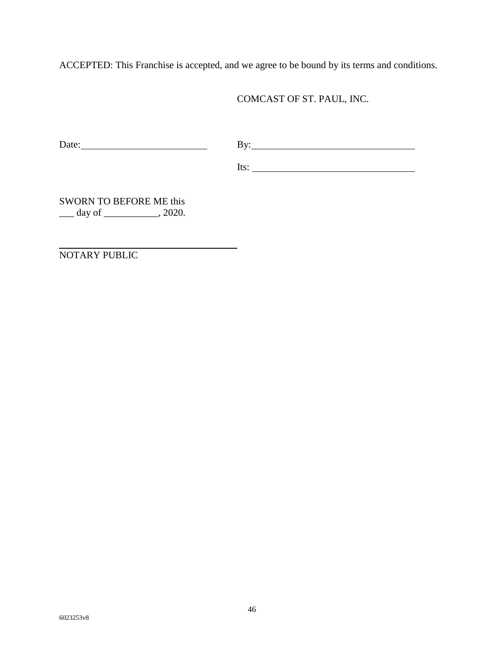ACCEPTED: This Franchise is accepted, and we agree to be bound by its terms and conditions.

COMCAST OF ST. PAUL, INC.

Date: By: By: By:

Its:

SWORN TO BEFORE ME this \_\_\_ day of \_\_\_\_\_\_\_\_\_\_\_, 2020.

NOTARY PUBLIC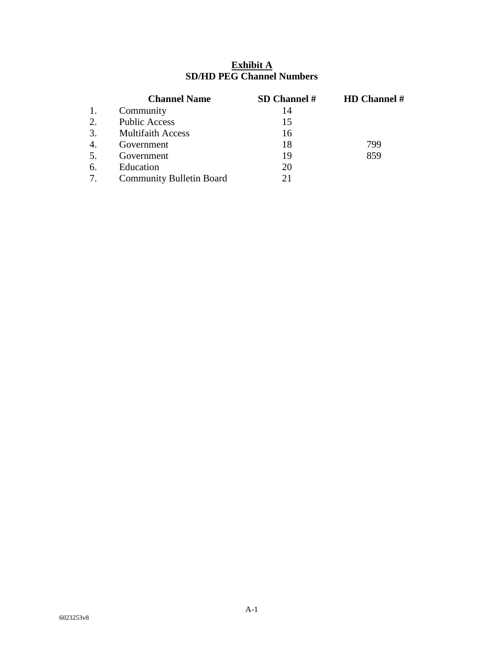### **Exhibit A SD/HD PEG Channel Numbers**

|                  | <b>Channel Name</b>             | SD Channel # | <b>HD</b> Channel # |
|------------------|---------------------------------|--------------|---------------------|
| 1.               | Community                       | 14           |                     |
| 2.               | <b>Public Access</b>            | 15           |                     |
| 3.               | <b>Multifaith Access</b>        | 16           |                     |
| $\overline{4}$ . | Government                      | 18           | 799                 |
| 5.               | Government                      | 19           | 859                 |
| 6.               | Education                       | 20           |                     |
|                  | <b>Community Bulletin Board</b> | 21           |                     |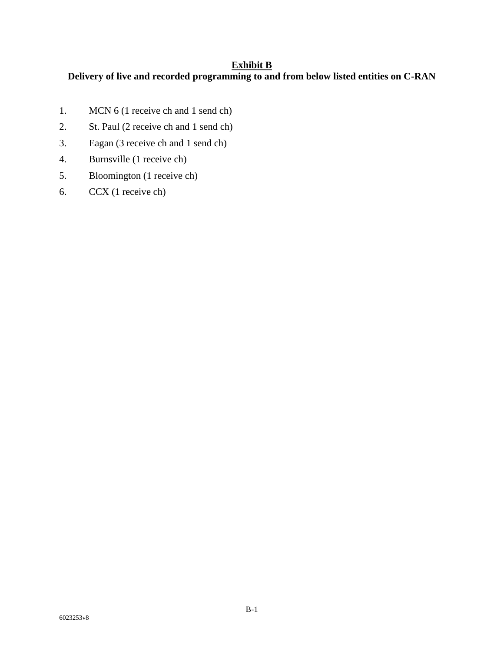#### **Exhibit B**

# **Delivery of live and recorded programming to and from below listed entities on C-RAN**

- 1. MCN 6 (1 receive ch and 1 send ch)
- 2. St. Paul (2 receive ch and 1 send ch)
- 3. Eagan (3 receive ch and 1 send ch)
- 4. Burnsville (1 receive ch)
- 5. Bloomington (1 receive ch)
- 6. CCX (1 receive ch)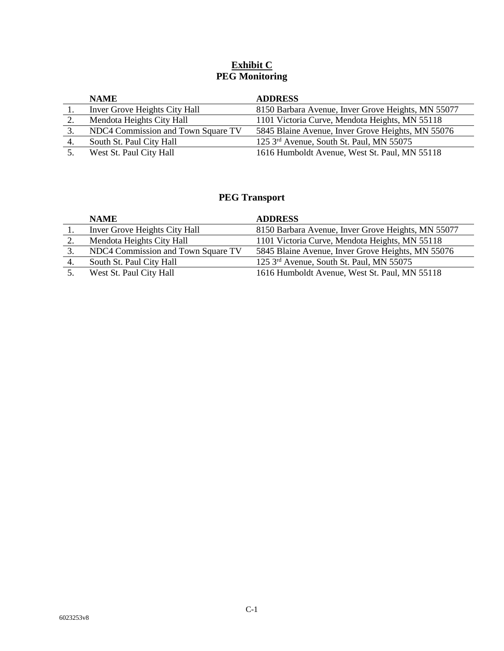### **Exhibit C PEG Monitoring**

| <b>NAME</b>                        | <b>ADDRESS</b>                                     |
|------------------------------------|----------------------------------------------------|
| Inver Grove Heights City Hall      | 8150 Barbara Avenue, Inver Grove Heights, MN 55077 |
| Mendota Heights City Hall          | 1101 Victoria Curve, Mendota Heights, MN 55118     |
| NDC4 Commission and Town Square TV | 5845 Blaine Avenue, Inver Grove Heights, MN 55076  |
| South St. Paul City Hall           | 125 3rd Avenue, South St. Paul, MN 55075           |
| West St. Paul City Hall            | 1616 Humboldt Avenue, West St. Paul, MN 55118      |

# **PEG Transport**

|     | <b>NAME</b>                        | <b>ADDRESS</b>                                     |
|-----|------------------------------------|----------------------------------------------------|
|     | Inver Grove Heights City Hall      | 8150 Barbara Avenue, Inver Grove Heights, MN 55077 |
| 2.  | Mendota Heights City Hall          | 1101 Victoria Curve, Mendota Heights, MN 55118     |
| 3.  | NDC4 Commission and Town Square TV | 5845 Blaine Avenue, Inver Grove Heights, MN 55076  |
| -4. | South St. Paul City Hall           | 125 3rd Avenue, South St. Paul, MN 55075           |
| 5.  | West St. Paul City Hall            | 1616 Humboldt Avenue, West St. Paul, MN 55118      |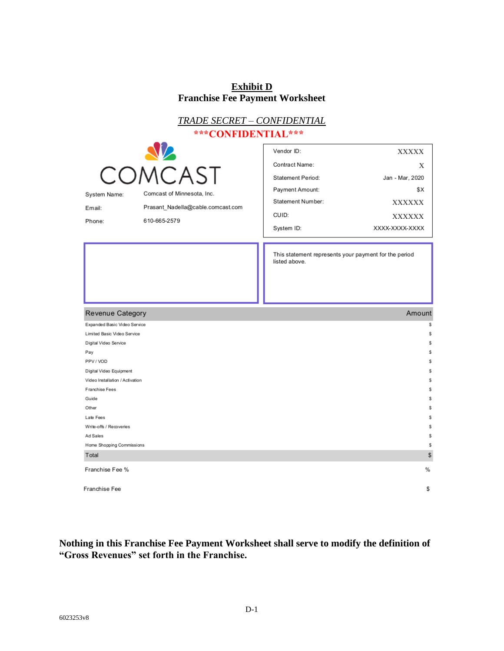# **Exhibit D Franchise Fee Payment Worksheet**

| <b>TRADE SECRET - CONFIDENTIAL</b>                |                                                                                                         |                                                                                                                         |                                                                                          |
|---------------------------------------------------|---------------------------------------------------------------------------------------------------------|-------------------------------------------------------------------------------------------------------------------------|------------------------------------------------------------------------------------------|
| ***CONFIDENTIAL***                                |                                                                                                         |                                                                                                                         |                                                                                          |
| System Name:<br>Email:<br>Phone:                  | <b>AZ</b><br>COMCAST<br>Comcast of Minnesota, Inc.<br>Prasant_Nadella@cable.comcast.com<br>610-665-2579 | Vendor ID:<br>Contract Name:<br><b>Statement Period:</b><br>Payment Amount:<br>Statement Number:<br>CUID:<br>System ID: | XXXXX<br>Х<br>Jan - Mar, 2020<br>\$X<br><b>XXXXXX</b><br><b>XXXXXX</b><br>XXXX-XXXX-XXXX |
|                                                   |                                                                                                         | This statement represents your payment for the period<br>listed above.                                                  |                                                                                          |
|                                                   |                                                                                                         |                                                                                                                         | Amount                                                                                   |
| Revenue Category<br>Expanded Basic Video Service  |                                                                                                         |                                                                                                                         | \$                                                                                       |
| Limited Basic Video Service                       |                                                                                                         |                                                                                                                         | \$                                                                                       |
| Digital Video Service                             |                                                                                                         |                                                                                                                         | \$                                                                                       |
| Pay                                               |                                                                                                         |                                                                                                                         | \$                                                                                       |
| PPV / VOD                                         |                                                                                                         |                                                                                                                         | \$                                                                                       |
| Digital Video Equipment                           |                                                                                                         |                                                                                                                         | \$                                                                                       |
| Video Installation / Activation<br>Franchise Fees |                                                                                                         |                                                                                                                         | \$<br>\$                                                                                 |
| Guide                                             |                                                                                                         |                                                                                                                         | \$                                                                                       |
| Other                                             |                                                                                                         |                                                                                                                         | \$                                                                                       |
| Late Fees                                         |                                                                                                         |                                                                                                                         | \$                                                                                       |
| Write-offs / Recoveries                           |                                                                                                         |                                                                                                                         | \$                                                                                       |
| Ad Sales                                          |                                                                                                         |                                                                                                                         | \$                                                                                       |
| Home Shopping Commissions                         |                                                                                                         |                                                                                                                         | \$                                                                                       |
| Total                                             |                                                                                                         |                                                                                                                         | \$                                                                                       |
| Franchise Fee %                                   |                                                                                                         |                                                                                                                         | %                                                                                        |

**Nothing in this Franchise Fee Payment Worksheet shall serve to modify the definition of "Gross Revenues" set forth in the Franchise.**